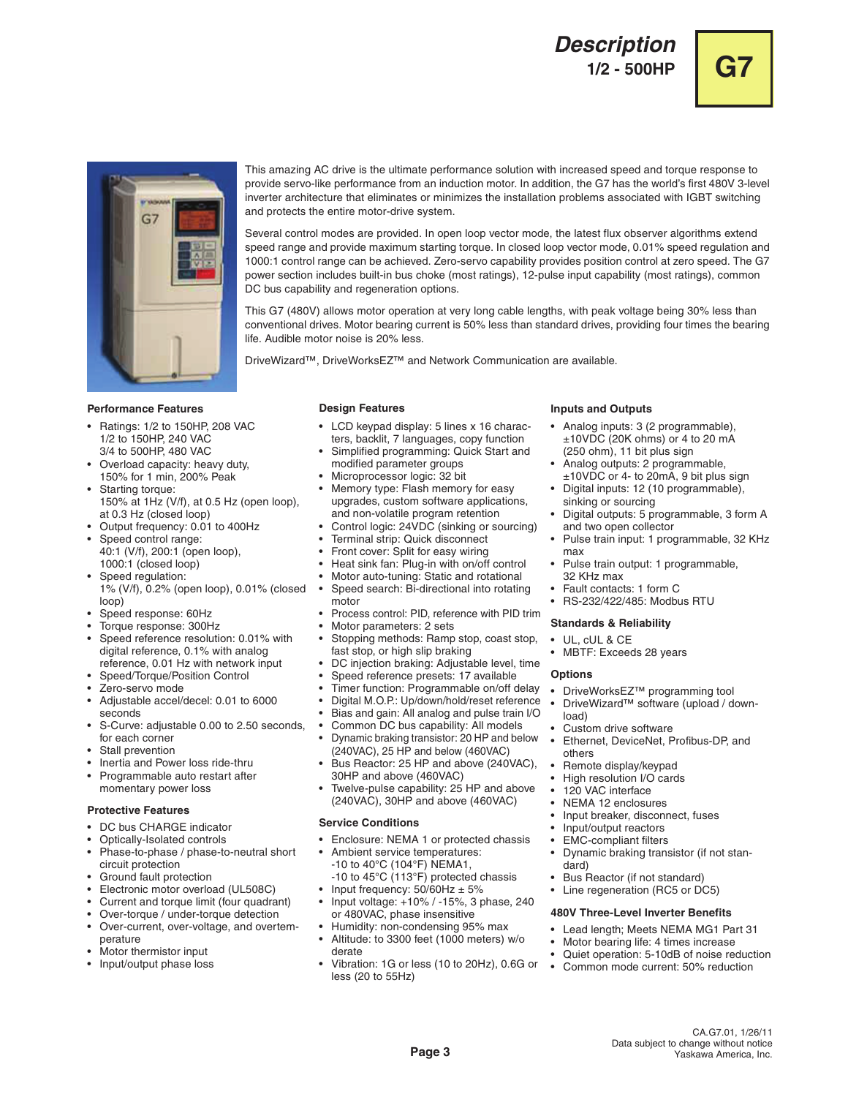# **Description 1/2 - 500HP G7**





This amazing AC drive is the ultimate performance solution with increased speed and torque response to provide servo-like performance from an induction motor. In addition, the G7 has the world's first 480V 3-level inverter architecture that eliminates or minimizes the installation problems associated with IGBT switching and protects the entire motor-drive system.

Several control modes are provided. In open loop vector mode, the latest flux observer algorithms extend speed range and provide maximum starting torque. In closed loop vector mode, 0.01% speed regulation and 1000:1 control range can be achieved. Zero-servo capability provides position control at zero speed. The G7 power section includes built-in bus choke (most ratings), 12-pulse input capability (most ratings), common DC bus capability and regeneration options.

This G7 (480V) allows motor operation at very long cable lengths, with peak voltage being 30% less than conventional drives. Motor bearing current is 50% less than standard drives, providing four times the bearing life. Audible motor noise is 20% less.

DriveWizard™, DriveWorksEZ™ and Network Communication are available.

## **Performance Features**

- Ratings: 1/2 to 150HP, 208 VAC 1/2 to 150HP, 240 VAC 3/4 to 500HP, 480 VAC
- Overload capacity: heavy duty, 150% for 1 min, 200% Peak
- Starting torque: 150% at 1Hz (V/f), at 0.5 Hz (open loop), at 0.3 Hz (closed loop)
- Output frequency: 0.01 to 400Hz
- Speed control range:
- 40:1 (V/f), 200:1 (open loop), 1000:1 (closed loop) Speed regulation:
- 1% (V/f), 0.2% (open loop), 0.01% (closed loop)
- Speed response: 60Hz
- Torque response: 300Hz
- Speed reference resolution: 0.01% with digital reference, 0.1% with analog reference, 0.01 Hz with network input
- Speed/Torque/Position Control
- Zero-servo mode
- Adjustable accel/decel: 0.01 to 6000 seconds
- S-Curve: adjustable 0.00 to 2.50 seconds, for each corner
- Stall prevention
- Inertia and Power loss ride-thru
- Programmable auto restart after momentary power loss

## **Protective Features**

- DC bus CHARGE indicator
- Optically-Isolated controls
- Phase-to-phase / phase-to-neutral short circuit protection
- Ground fault protection
- Electronic motor overload (UL508C)
- Current and torque limit (four quadrant)
- Over-torque / under-torque detection<br>• Over-current over-voltage and overt
- Over-current, over-voltage, and overtemperature
- Motor thermistor input
- Input/output phase loss

## **Design Features**

- LCD keypad display: 5 lines x 16 characters, backlit, 7 languages, copy function
- Simplified programming: Quick Start and modified parameter groups
- Microprocessor logic: 32 bit
- Memory type: Flash memory for easy upgrades, custom software applications,
- and non-volatile program retention • Control logic: 24VDC (sinking or sourcing)
- Terminal strip: Quick disconnect
- Front cover: Split for easy wiring
- Heat sink fan: Plug-in with on/off control
- Motor auto-tuning: Static and rotational
- Speed search: Bi-directional into rotating motor
- Process control: PID, reference with PID trim
- Motor parameters: 2 sets
- Stopping methods: Ramp stop, coast stop, fast stop, or high slip braking
- DC injection braking: Adjustable level, time
- Speed reference presets: 17 available
- Timer function: Programmable on/off delay
- Digital M.O.P.: Up/down/hold/reset reference
- Bias and gain: All analog and pulse train I/O
- Common DC bus capability: All models
- Dynamic braking transistor: 20 HP and below (240VAC), 25 HP and below (460VAC)
- Bus Reactor: 25 HP and above (240VAC), 30HP and above (460VAC)
- Twelve-pulse capability: 25 HP and above (240VAC), 30HP and above (460VAC)

## **Service Conditions**

- Enclosure: NEMA 1 or protected chassis
	- Ambient service temperatures:
	- -10 to 40°C (104°F) NEMA1,
- -10 to 45°C (113°F) protected chassis • Input frequency:  $50/60$ Hz  $\pm 5%$
- Input voltage: +10% / -15%, 3 phase, 240
- or 480VAC, phase insensitive
- Humidity: non-condensing 95% max • Altitude: to 3300 feet (1000 meters) w/o derate
- Vibration: 1G or less (10 to 20Hz), 0.6G or less (20 to 55Hz)

## **Inputs and Outputs**

- Analog inputs: 3 (2 programmable), ±10VDC (20K ohms) or 4 to 20 mA (250 ohm), 11 bit plus sign
- Analog outputs: 2 programmable,
- ±10VDC or 4- to 20mA, 9 bit plus sign • Digital inputs: 12 (10 programmable), sinking or sourcing
- Digital outputs: 5 programmable, 3 form A and two open collector
- Pulse train input: 1 programmable, 32 KHz max
- Pulse train output: 1 programmable, 32 KHz max
- Fault contacts: 1 form C
- RS-232/422/485: Modbus RTU

## **Standards & Reliability**

- UL, cUL & CE
- MBTF: Exceeds 28 years

## **Options**

- DriveWorksEZ™ programming tool
- DriveWizard™ software (upload / download)
- Custom drive software
- Ethernet, DeviceNet, Profibus-DP, and others
- Remote display/keypad
- High resolution I/O cards
- 120 VAC interface
- NEMA 12 enclosures
- Input breaker, disconnect, fuses
- Input/output reactors
- EMC-compliant filters<br>• Dynamic braking trans

**Page 3** Yaskawa America, Inc.

- Dynamic braking transistor (if not standard)
- Bus Reactor (if not standard)
- Line regeneration (RC5 or DC5)

#### **480V Three-Level Inverter Benefits**

- Lead length; Meets NEMA MG1 Part 31
- Motor bearing life: 4 times increase
- Quiet operation: 5-10dB of noise reduction

CA.G7.01, 1/26/11

Data subject to change without notice

• Common mode current: 50% reduction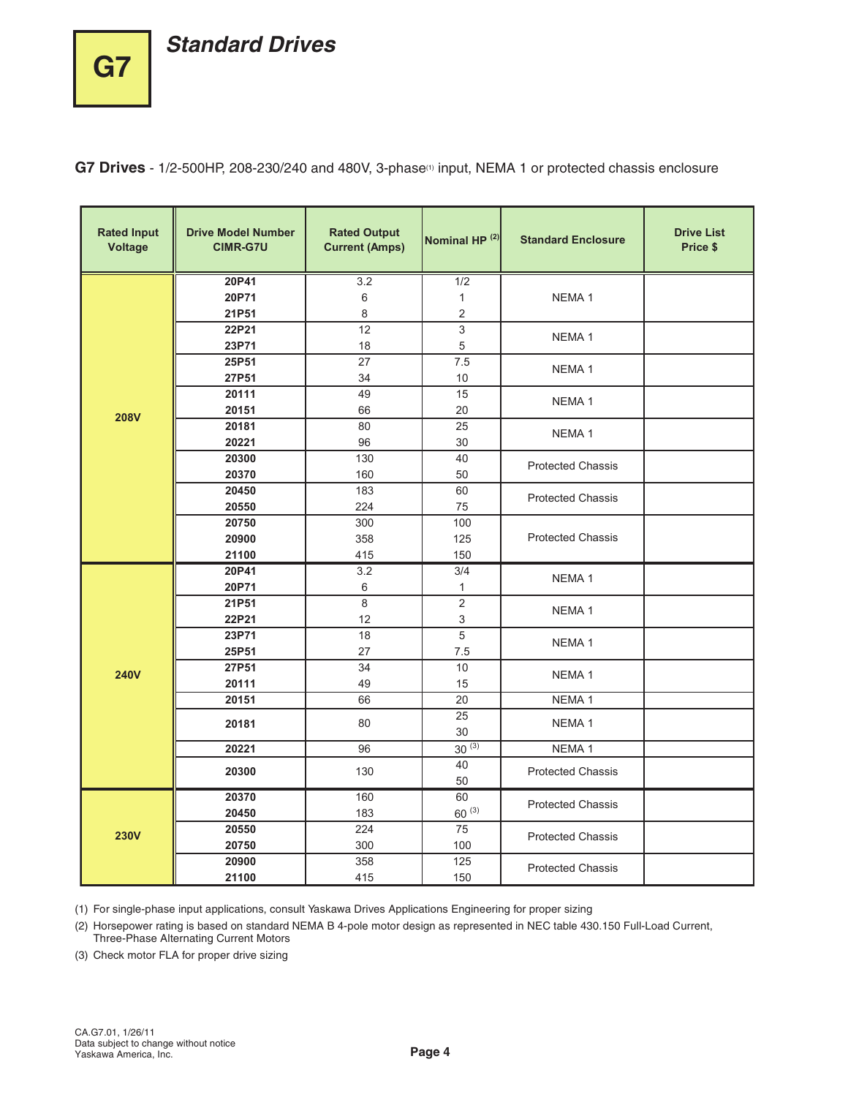# **Standard Drives**

**G7**

**G7 Drives** - 1/2-500HP, 208-230/240 and 480V, 3-phase(1) input, NEMA 1 or protected chassis enclosure

| <b>Rated Input</b><br><b>Voltage</b> | <b>Drive Model Number</b><br><b>CIMR-G7U</b> | <b>Rated Output</b><br><b>Current (Amps)</b> | Nominal HP <sup>(2)</sup> | <b>Standard Enclosure</b> | <b>Drive List</b><br>Price \$ |
|--------------------------------------|----------------------------------------------|----------------------------------------------|---------------------------|---------------------------|-------------------------------|
|                                      | 20P41                                        | 3.2                                          | 1/2                       |                           |                               |
|                                      | 20P71                                        | 6                                            | $\mathbf{1}$              | NEMA <sub>1</sub>         |                               |
|                                      | 21P51                                        | 8                                            | 2                         |                           |                               |
|                                      | 22P21                                        | 12                                           | $\overline{3}$            | NEMA <sub>1</sub>         |                               |
|                                      | 23P71                                        | 18                                           | 5                         |                           |                               |
|                                      | 25P51                                        | 27                                           | 7.5                       | NEMA <sub>1</sub>         |                               |
|                                      | 27P51                                        | 34                                           | 10                        |                           |                               |
|                                      | 20111                                        | 49                                           | 15                        | NEMA <sub>1</sub>         |                               |
| <b>208V</b>                          | 20151                                        | 66                                           | 20                        |                           |                               |
|                                      | 20181                                        | 80                                           | 25                        | NEMA <sub>1</sub>         |                               |
|                                      | 20221                                        | 96                                           | 30                        |                           |                               |
|                                      | 20300                                        | 130                                          | 40                        | <b>Protected Chassis</b>  |                               |
|                                      | 20370                                        | 160                                          | 50                        |                           |                               |
|                                      | 20450                                        | 183                                          | 60                        | <b>Protected Chassis</b>  |                               |
|                                      | 20550                                        | 224                                          | 75                        |                           |                               |
|                                      | 20750                                        | 300                                          | 100                       | <b>Protected Chassis</b>  |                               |
|                                      | 20900                                        | 358                                          | 125                       |                           |                               |
|                                      | 21100<br>20P41                               | 415<br>3.2                                   | 150                       |                           |                               |
|                                      | 20P71                                        |                                              | 3/4<br>1                  | NEMA <sub>1</sub>         |                               |
|                                      | 21P51                                        | 6<br>8                                       | $\overline{c}$            |                           |                               |
|                                      | 22P21                                        | 12                                           | 3                         | NEMA <sub>1</sub>         |                               |
|                                      | 23P71                                        | 18                                           | $\sqrt{5}$                |                           |                               |
|                                      | 25P51                                        | 27                                           | 7.5                       | NEMA <sub>1</sub>         |                               |
|                                      | 27P51                                        | 34                                           | 10                        |                           |                               |
| <b>240V</b>                          | 20111                                        | 49                                           | 15                        | NEMA <sub>1</sub>         |                               |
|                                      | 20151                                        | 66                                           | 20                        | NEMA <sub>1</sub>         |                               |
|                                      | 20181                                        | 80                                           | 25<br>30                  | NEMA <sub>1</sub>         |                               |
|                                      | 20221                                        | 96                                           | $30^{(3)}$                | NEMA <sub>1</sub>         |                               |
|                                      |                                              |                                              | 40                        |                           |                               |
|                                      | 20300                                        | 130                                          | 50                        | <b>Protected Chassis</b>  |                               |
|                                      | 20370                                        | 160                                          | 60                        | <b>Protected Chassis</b>  |                               |
|                                      | 20450                                        | 183                                          | $60^{(3)}$                |                           |                               |
| <b>230V</b>                          | 20550                                        | 224                                          | 75                        | <b>Protected Chassis</b>  |                               |
|                                      | 20750                                        | 300                                          | 100                       |                           |                               |
|                                      | 20900                                        | 358                                          | $\overline{125}$          | <b>Protected Chassis</b>  |                               |
|                                      | 21100                                        | 415                                          | 150                       |                           |                               |

(1) For single-phase input applications, consult Yaskawa Drives Applications Engineering for proper sizing

(2) Horsepower rating is based on standard NEMA B 4-pole motor design as represented in NEC table 430.150 Full-Load Current, Three-Phase Alternating Current Motors

(3) Check motor FLA for proper drive sizing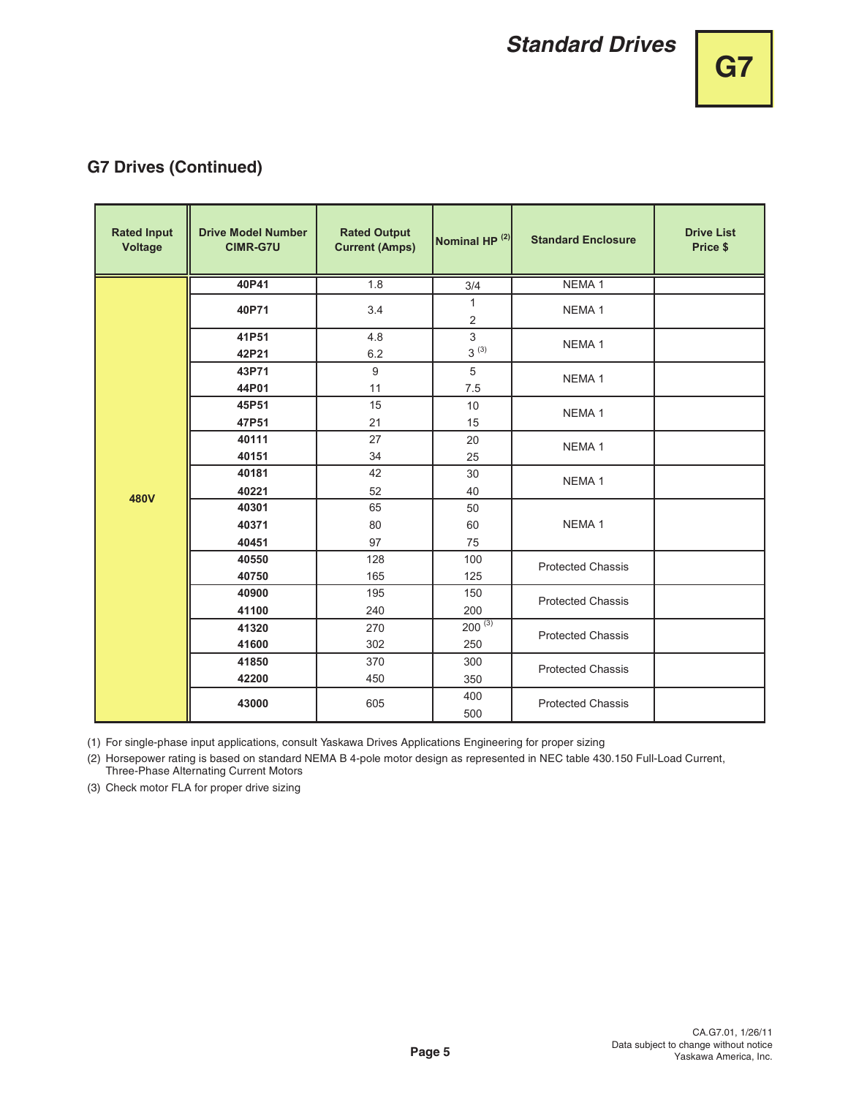## **G7 Drives (Continued)**

| <b>Rated Input</b><br><b>Voltage</b> | <b>Drive Model Number</b><br><b>CIMR-G7U</b> | <b>Rated Output</b><br><b>Current (Amps)</b> | Nominal HP <sup>(2)</sup>      | <b>Standard Enclosure</b> | <b>Drive List</b><br>Price \$ |
|--------------------------------------|----------------------------------------------|----------------------------------------------|--------------------------------|---------------------------|-------------------------------|
|                                      | 40P41                                        | 1.8                                          | 3/4                            | NEMA <sub>1</sub>         |                               |
|                                      | 40P71                                        | 3.4                                          | $\mathbf{1}$<br>$\overline{c}$ | NEMA <sub>1</sub>         |                               |
|                                      | 41P51<br>42P21                               | 4.8<br>6.2                                   | $\overline{3}$<br>$3^{(3)}$    | NEMA <sub>1</sub>         |                               |
|                                      | 43P71<br>44P01                               | 9<br>11                                      | 5<br>7.5                       | NEMA <sub>1</sub>         |                               |
|                                      | 45P51<br>47P51                               | 15<br>21                                     | 10<br>15                       | NEMA <sub>1</sub>         |                               |
|                                      | 40111<br>40151                               | 27<br>34                                     | 20<br>25                       | NEMA <sub>1</sub>         |                               |
| 480V                                 | 40181<br>40221                               | 42<br>52                                     | 30<br>40                       | NEMA <sub>1</sub>         |                               |
|                                      | 40301<br>40371                               | 65<br>80                                     | 50<br>60                       | NEMA <sub>1</sub>         |                               |
|                                      | 40451<br>40550<br>40750                      | 97<br>128<br>165                             | 75<br>100<br>125               | <b>Protected Chassis</b>  |                               |
|                                      | 40900<br>41100                               | 195<br>240                                   | 150<br>200                     | <b>Protected Chassis</b>  |                               |
|                                      | 41320<br>41600                               | 270<br>302                                   | $200^{(3)}$<br>250             | <b>Protected Chassis</b>  |                               |
|                                      | 41850<br>42200                               | 370<br>450                                   | 300<br>350                     | <b>Protected Chassis</b>  |                               |
|                                      | 43000                                        | 605                                          | 400<br>500                     | <b>Protected Chassis</b>  |                               |

(1) For single-phase input applications, consult Yaskawa Drives Applications Engineering for proper sizing

(2) Horsepower rating is based on standard NEMA B 4-pole motor design as represented in NEC table 430.150 Full-Load Current, Three-Phase Alternating Current Motors

(3) Check motor FLA for proper drive sizing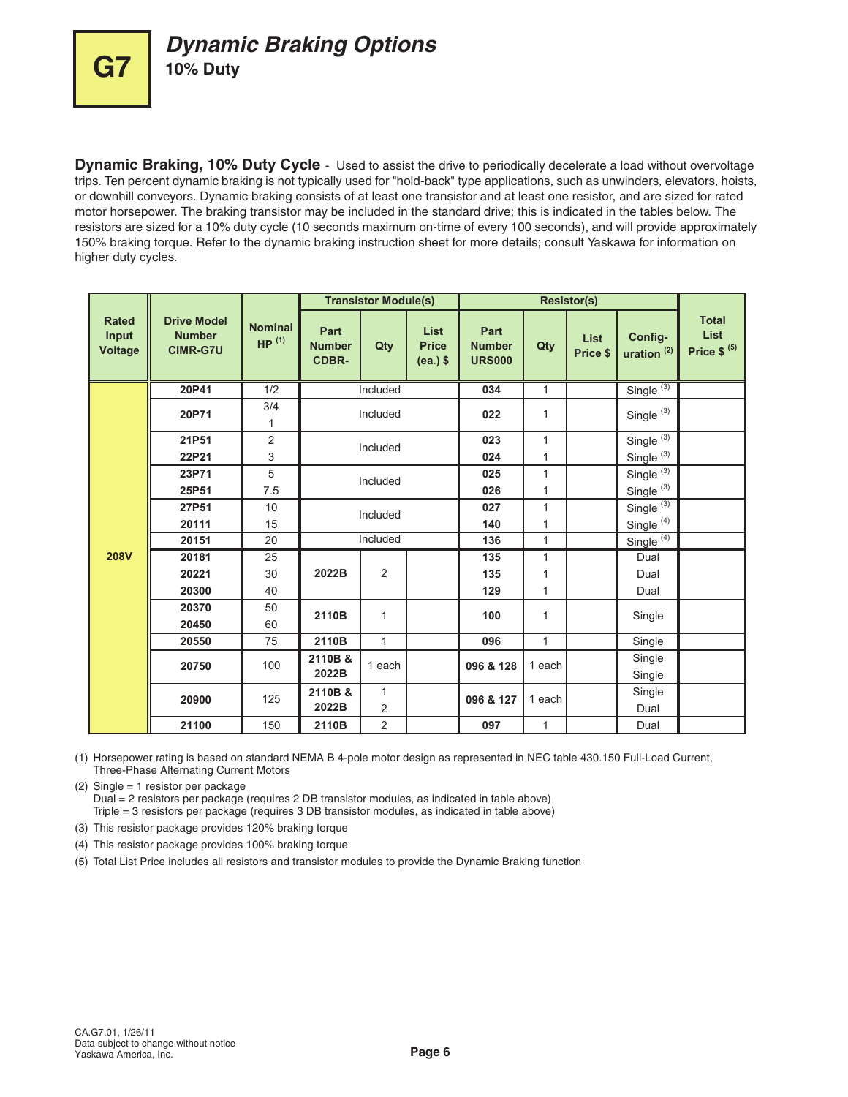

**Dynamic Braking, 10% Duty Cycle** - Used to assist the drive to periodically decelerate a load without overvoltage trips. Ten percent dynamic braking is not typically used for "hold-back" type applications, such as unwinders, elevators, hoists, or downhill conveyors. Dynamic braking consists of at least one transistor and at least one resistor, and are sized for rated motor horsepower. The braking transistor may be included in the standard drive; this is indicated in the tables below. The resistors are sized for a 10% duty cycle (10 seconds maximum on-time of every 100 seconds), and will provide approximately 150% braking torque. Refer to the dynamic braking instruction sheet for more details; consult Yaskawa for information on higher duty cycles.

|                                         |                                                        |                                     |                                       | <b>Transistor Module(s)</b> |                                    |                                        |              | <b>Resistor(s)</b>      |                                 |                                         |
|-----------------------------------------|--------------------------------------------------------|-------------------------------------|---------------------------------------|-----------------------------|------------------------------------|----------------------------------------|--------------|-------------------------|---------------------------------|-----------------------------------------|
| <b>Rated</b><br>Input<br><b>Voltage</b> | <b>Drive Model</b><br><b>Number</b><br><b>CIMR-G7U</b> | <b>Nominal</b><br>HP <sup>(1)</sup> | Part<br><b>Number</b><br><b>CDBR-</b> | Qty                         | List<br><b>Price</b><br>$(ea.)$ \$ | Part<br><b>Number</b><br><b>URS000</b> | Qty          | <b>List</b><br>Price \$ | Config-<br>uration $(2)$        | <b>Total</b><br>List<br>Price $$^{(5)}$ |
|                                         | 20P41                                                  | 1/2                                 |                                       | Included                    |                                    | 034                                    | $\mathbf{1}$ |                         | Single <sup>(3)</sup>           |                                         |
|                                         | 20P71                                                  | 3/4<br>1                            |                                       | Included                    |                                    | 022                                    | 1            |                         | Single <sup>(3)</sup>           |                                         |
|                                         | 21P51                                                  | $\overline{2}$                      |                                       | Included                    |                                    | 023                                    | 1            |                         | Single $\overline{\binom{3}{}}$ |                                         |
|                                         | 22P21                                                  | 3                                   |                                       |                             |                                    | 024                                    | 1            |                         | Single <sup>(3)</sup>           |                                         |
|                                         | 23P71                                                  | 5                                   |                                       | Included                    |                                    | 025                                    | 1            |                         | Single $\overline{\binom{3}{}}$ |                                         |
|                                         | 25P51                                                  | 7.5                                 |                                       |                             |                                    | 026                                    | 1            |                         | Single <sup>(3)</sup>           |                                         |
|                                         | 27P51                                                  | 10                                  |                                       | Included                    |                                    |                                        | 1            |                         | Single <sup>(3)</sup>           |                                         |
|                                         | 20111                                                  | 15                                  |                                       |                             |                                    | 140                                    | 1            |                         | Single <sup>(4)</sup>           |                                         |
|                                         | 20151                                                  | 20                                  | Included                              |                             |                                    | 136                                    | $\mathbf{1}$ |                         | Single <sup>(4)</sup>           |                                         |
| <b>208V</b>                             | 20181                                                  | 25                                  |                                       |                             |                                    | 135                                    | 1            |                         | Dual                            |                                         |
|                                         | 20221                                                  | 30                                  | 2022B                                 | $\overline{2}$              |                                    | 135                                    | 1            |                         | Dual                            |                                         |
|                                         | 20300                                                  | 40                                  |                                       |                             |                                    | 129                                    | 1            |                         | Dual                            |                                         |
|                                         | 20370                                                  | 50                                  | 2110B                                 | $\mathbf{1}$                |                                    | 100                                    | 1            |                         | Single                          |                                         |
|                                         | 20450                                                  | 60                                  |                                       |                             |                                    |                                        |              |                         |                                 |                                         |
|                                         | 20550                                                  | 75                                  | 2110B                                 | $\mathbf{1}$                |                                    | 096                                    | $\mathbf{1}$ |                         | Single                          |                                         |
|                                         | 20750                                                  | 100                                 | 2110B &                               | 1 each                      |                                    | 096 & 128                              | 1 each       |                         | Single                          |                                         |
|                                         |                                                        |                                     | 2022B                                 |                             |                                    |                                        |              |                         | Single                          |                                         |
|                                         | 20900                                                  | 125                                 | 2110B &                               | $\mathbf{1}$                |                                    | 096 & 127                              | 1 each       |                         | Single                          |                                         |
|                                         |                                                        |                                     | 2022B                                 | $\overline{2}$              |                                    |                                        |              |                         | Dual                            |                                         |
|                                         | 21100                                                  | 150                                 | 2110B                                 | $\overline{c}$              |                                    | 097                                    | $\mathbf{1}$ |                         | Dual                            |                                         |

(1) Horsepower rating is based on standard NEMA B 4-pole motor design as represented in NEC table 430.150 Full-Load Current, Three-Phase Alternating Current Motors

(2) Single = 1 resistor per package Dual = 2 resistors per package (requires 2 DB transistor modules, as indicated in table above) Triple = 3 resistors per package (requires 3 DB transistor modules, as indicated in table above)

(3) This resistor package provides 120% braking torque

(4) This resistor package provides 100% braking torque

(5) Total List Price includes all resistors and transistor modules to provide the Dynamic Braking function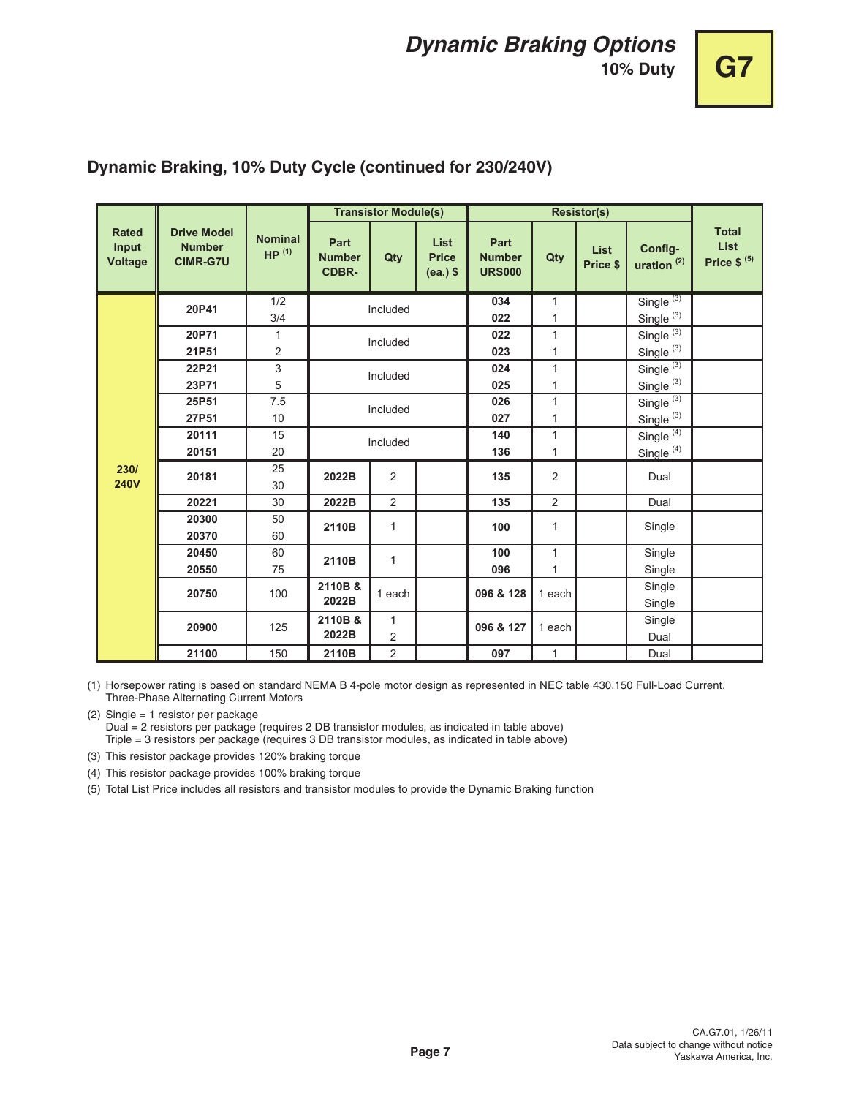# **10% Duty G7**

|                                         |                                                                    |                                     |                                       | <b>Transistor Module(s)</b> |                                           |                                        |                   | <b>Resistor(s)</b>      |                                                          |                                         |
|-----------------------------------------|--------------------------------------------------------------------|-------------------------------------|---------------------------------------|-----------------------------|-------------------------------------------|----------------------------------------|-------------------|-------------------------|----------------------------------------------------------|-----------------------------------------|
| <b>Rated</b><br>Input<br><b>Voltage</b> | <b>Drive Model</b><br><b>Number</b><br><b>CIMR-G7U</b>             | <b>Nominal</b><br>HP <sup>(1)</sup> | Part<br><b>Number</b><br><b>CDBR-</b> | Qty                         | <b>List</b><br><b>Price</b><br>$(ea.)$ \$ | Part<br><b>Number</b><br><b>URS000</b> | Qty               | <b>List</b><br>Price \$ | Config-<br>uration $(2)$                                 | <b>Total</b><br>List<br>Price $$^{(5)}$ |
|                                         | 20P41                                                              | 1/2<br>3/4                          |                                       | Included                    |                                           | 034<br>022                             | $\mathbf{1}$<br>1 |                         | Single $(3)$<br>Single <sup>(3)</sup>                    |                                         |
|                                         | 20P71<br>21P51                                                     | 1<br>2                              |                                       | Included                    |                                           | 022<br>023                             | 1<br>1            |                         | Single $(3)$<br>Single <sup>(3)</sup>                    |                                         |
|                                         | 22P21<br>23P71                                                     | 3<br>5                              |                                       | Included                    |                                           | 024<br>025                             | 1<br>1            |                         | Single $(3)$<br>Single <sup>(3)</sup>                    |                                         |
|                                         | 25P51<br>27P51                                                     | 7.5<br>10                           |                                       | Included                    |                                           | 026<br>027                             | 1<br>1            |                         | Single <sup>(3)</sup><br>Single <sup>(3)</sup>           |                                         |
|                                         | 20111<br>20151                                                     | 15<br>20                            | Included                              |                             |                                           | 140<br>136                             | 1<br>1            |                         | Single $\overline{\binom{4}{}}$<br>Single <sup>(4)</sup> |                                         |
| 230/<br><b>240V</b>                     | 20181                                                              | 25<br>30                            | 2022B                                 | $\overline{2}$              |                                           | 135                                    | 2                 |                         | Dual                                                     |                                         |
|                                         | 20221                                                              | 30                                  | 2022B                                 | $\overline{2}$              |                                           | 135                                    | $\overline{c}$    |                         | Dual                                                     |                                         |
|                                         | 20300<br>20370                                                     | 50<br>60                            | 2110B                                 | 1                           |                                           | 100                                    | 1                 |                         | Single                                                   |                                         |
|                                         | 20450<br>20550                                                     | 60<br>75                            | 2110B                                 | $\mathbf{1}$                |                                           | 100<br>096                             | $\mathbf{1}$<br>1 |                         | Single<br>Single                                         |                                         |
|                                         | 20750                                                              | 100                                 | 2110B &<br>2022B                      | 1 each                      |                                           | 096 & 128                              | 1 each            |                         | Single<br>Single                                         |                                         |
|                                         | $\mathbf{1}$<br>2110B &<br>20900<br>125<br>2022B<br>$\overline{2}$ |                                     | 096 & 127                             | 1 each                      |                                           | Single<br>Dual                         |                   |                         |                                                          |                                         |
|                                         | 21100                                                              | 150                                 | 2110B                                 | $\overline{2}$              |                                           | 097                                    | $\mathbf{1}$      |                         | Dual                                                     |                                         |

## **Dynamic Braking, 10% Duty Cycle (continued for 230/240V)**

(1) Horsepower rating is based on standard NEMA B 4-pole motor design as represented in NEC table 430.150 Full-Load Current, Three-Phase Alternating Current Motors

(2) Single = 1 resistor per package Dual = 2 resistors per package (requires 2 DB transistor modules, as indicated in table above) Triple = 3 resistors per package (requires 3 DB transistor modules, as indicated in table above)

(3) This resistor package provides 120% braking torque

(4) This resistor package provides 100% braking torque

(5) Total List Price includes all resistors and transistor modules to provide the Dynamic Braking function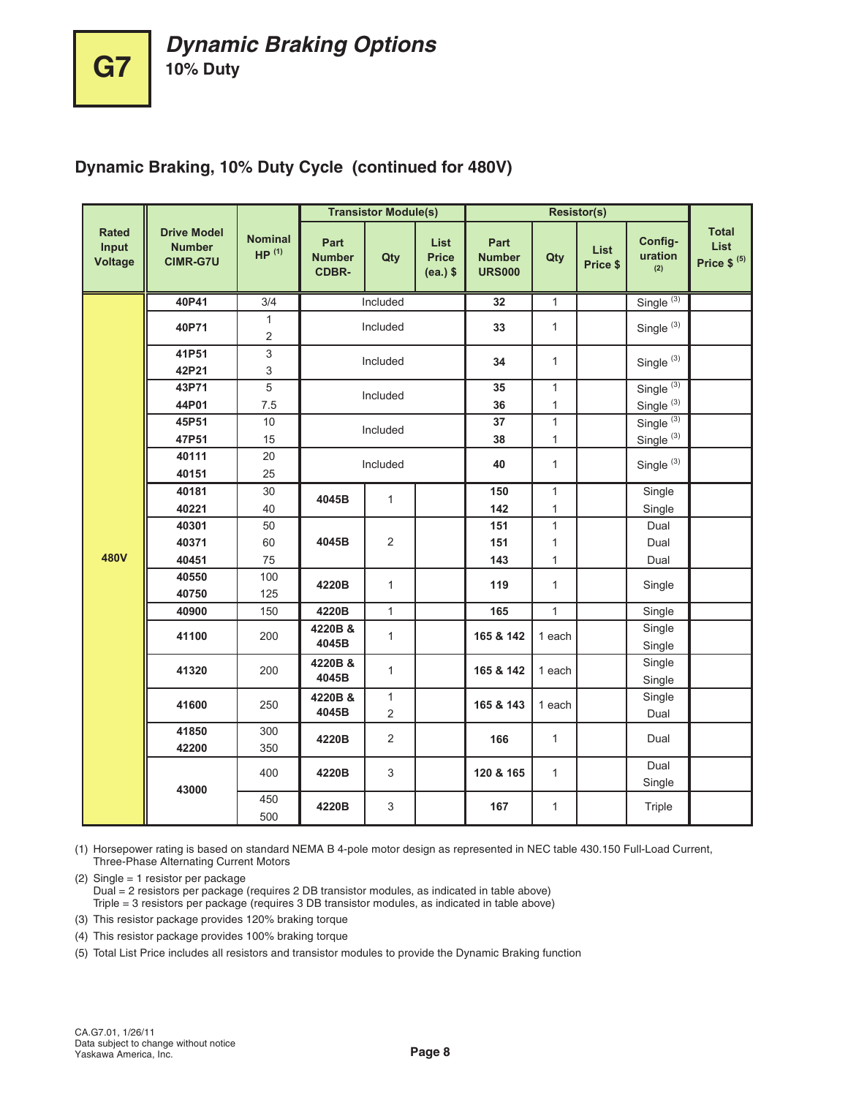## **Dynamic Braking, 10% Duty Cycle (continued for 480V)**

|                                  |                                                        |                                     |                                       | <b>Transistor Module(s)</b> |                                    |                                        |              | <b>Resistor(s)</b>      |                           |                                         |
|----------------------------------|--------------------------------------------------------|-------------------------------------|---------------------------------------|-----------------------------|------------------------------------|----------------------------------------|--------------|-------------------------|---------------------------|-----------------------------------------|
| <b>Rated</b><br>Input<br>Voltage | <b>Drive Model</b><br><b>Number</b><br><b>CIMR-G7U</b> | <b>Nominal</b><br>HP <sup>(1)</sup> | Part<br><b>Number</b><br><b>CDBR-</b> | Qty                         | List<br><b>Price</b><br>$(ea.)$ \$ | Part<br><b>Number</b><br><b>URS000</b> | Qty          | <b>List</b><br>Price \$ | Config-<br>uration<br>(2) | <b>Total</b><br>List<br>Price $$^{(5)}$ |
|                                  | 40P41                                                  | 3/4                                 |                                       | Included                    |                                    | 32                                     | $\mathbf{1}$ |                         | Single $(3)$              |                                         |
|                                  | 40P71                                                  | 1<br>2                              |                                       | Included                    |                                    | 33                                     | $\mathbf{1}$ |                         | Single <sup>(3)</sup>     |                                         |
|                                  | 41P51                                                  | 3                                   |                                       | Included                    |                                    | 34                                     | $\mathbf{1}$ |                         | Single <sup>(3)</sup>     |                                         |
|                                  | 42P21                                                  | 3                                   |                                       |                             |                                    |                                        |              |                         |                           |                                         |
|                                  | 43P71                                                  | 5                                   |                                       | Included                    |                                    | 35                                     | $\mathbf{1}$ |                         | Single <sup>(3)</sup>     |                                         |
|                                  | 44P01                                                  | 7.5                                 |                                       |                             |                                    | 36                                     | 1            |                         | Single <sup>(3)</sup>     |                                         |
|                                  | 45P51                                                  | 10                                  |                                       | Included                    |                                    | 37                                     | $\mathbf{1}$ |                         | Single <sup>(3)</sup>     |                                         |
|                                  | 47P51                                                  | 15                                  |                                       |                             |                                    | 38                                     | $\mathbf{1}$ |                         | Single <sup>(3)</sup>     |                                         |
|                                  | 40111                                                  | 20                                  |                                       | Included                    |                                    | 40                                     | $\mathbf{1}$ |                         | Single <sup>(3)</sup>     |                                         |
|                                  | 40151                                                  | 25                                  |                                       |                             |                                    |                                        |              |                         |                           |                                         |
|                                  | 40181                                                  | 30                                  | 4045B                                 | $\mathbf{1}$                |                                    | 150                                    | $\mathbf{1}$ |                         | Single                    |                                         |
|                                  | 40221                                                  | 40                                  |                                       |                             |                                    | 142                                    | $\mathbf{1}$ |                         | Single                    |                                         |
|                                  | 40301                                                  | 50                                  |                                       |                             |                                    | 151                                    | $\mathbf{1}$ |                         | Dual                      |                                         |
|                                  | 40371                                                  | 60                                  | 4045B                                 | 2                           |                                    | 151                                    | $\mathbf{1}$ |                         | Dual                      |                                         |
| 480V                             | 40451                                                  | 75                                  |                                       |                             |                                    | 143                                    | $\mathbf{1}$ |                         | Dual                      |                                         |
|                                  | 40550                                                  | 100                                 | 4220B                                 | $\mathbf{1}$                |                                    | 119                                    | $\mathbf{1}$ |                         | Single                    |                                         |
|                                  | 40750                                                  | 125                                 |                                       |                             |                                    |                                        |              |                         |                           |                                         |
|                                  | 40900                                                  | 150                                 | 4220B                                 | $\mathbf{1}$                |                                    | 165                                    | $\mathbf{1}$ |                         | Single                    |                                         |
|                                  | 41100                                                  | 200                                 | 4220B &<br>4045B                      | $\mathbf{1}$                |                                    | 165 & 142                              | 1 each       |                         | Single<br>Single          |                                         |
|                                  | 41320                                                  | 200                                 | 4220B &<br>4045B                      | $\mathbf{1}$                |                                    | 165 & 142                              | 1 each       |                         | Single<br>Single          |                                         |
|                                  | 41600                                                  | 250                                 | 4220B &<br>4045B                      | $\mathbf{1}$<br>2           |                                    | 165 & 143                              | 1 each       |                         | Single<br>Dual            |                                         |
|                                  | 41850<br>42200                                         | 300<br>350                          | 4220B                                 | $\overline{2}$              |                                    | 166                                    | $\mathbf{1}$ |                         | Dual                      |                                         |
|                                  |                                                        | 400                                 | 4220B                                 | 3                           |                                    | 120 & 165                              | $\mathbf{1}$ |                         | Dual<br>Single            |                                         |
|                                  | 43000                                                  | 450<br>500                          | 4220B                                 | 3                           |                                    | 167                                    | 1            |                         | Triple                    |                                         |

(1) Horsepower rating is based on standard NEMA B 4-pole motor design as represented in NEC table 430.150 Full-Load Current, Three-Phase Alternating Current Motors

(2) Single = 1 resistor per package

Dual = 2 resistors per package (requires 2 DB transistor modules, as indicated in table above) Triple = 3 resistors per package (requires 3 DB transistor modules, as indicated in table above)

- (3) This resistor package provides 120% braking torque
- (4) This resistor package provides 100% braking torque

(5) Total List Price includes all resistors and transistor modules to provide the Dynamic Braking function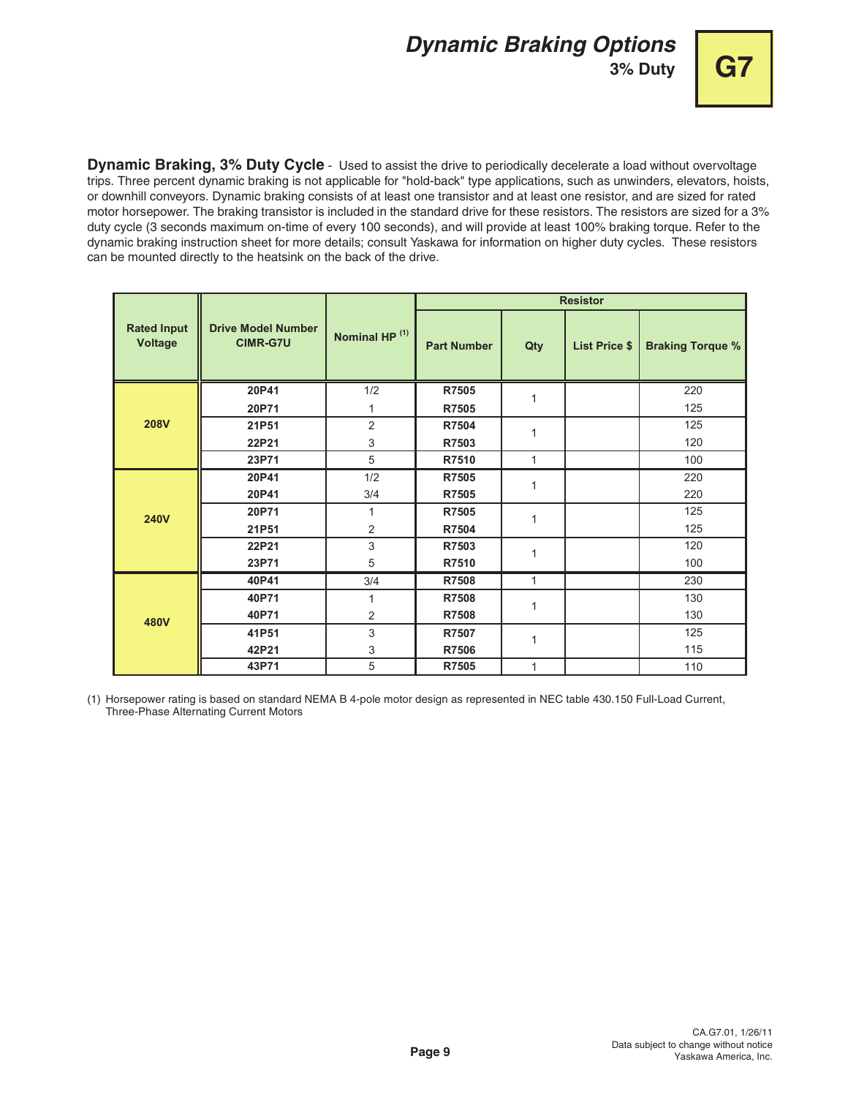# **Dynamic Braking Options**

**3% Duty G7**



**Dynamic Braking, 3% Duty Cycle** - Used to assist the drive to periodically decelerate a load without overvoltage trips. Three percent dynamic braking is not applicable for "hold-back" type applications, such as unwinders, elevators, hoists, or downhill conveyors. Dynamic braking consists of at least one transistor and at least one resistor, and are sized for rated motor horsepower. The braking transistor is included in the standard drive for these resistors. The resistors are sized for a 3% duty cycle (3 seconds maximum on-time of every 100 seconds), and will provide at least 100% braking torque. Refer to the dynamic braking instruction sheet for more details; consult Yaskawa for information on higher duty cycles. These resistors can be mounted directly to the heatsink on the back of the drive.

|                                      |                                              |                           |                    |     | <b>Resistor</b>      |                         |
|--------------------------------------|----------------------------------------------|---------------------------|--------------------|-----|----------------------|-------------------------|
| <b>Rated Input</b><br><b>Voltage</b> | <b>Drive Model Number</b><br><b>CIMR-G7U</b> | Nominal HP <sup>(1)</sup> | <b>Part Number</b> | Qty | <b>List Price \$</b> | <b>Braking Torque %</b> |
|                                      | 20P41                                        | 1/2                       | R7505              | 1   |                      | 220                     |
|                                      | 20P71                                        | $\mathbf{1}$              | R7505              |     |                      | 125                     |
| <b>208V</b>                          | 21P51                                        | $\overline{c}$            | R7504              | 1   |                      | 125                     |
|                                      | 22P21                                        | 3                         | R7503              |     |                      | 120                     |
|                                      | 23P71                                        | 5                         | R7510              | 1   |                      | 100                     |
|                                      | 20P41                                        | 1/2                       | R7505              | 1   |                      | 220                     |
|                                      | 20P41                                        | 3/4                       | R7505              |     |                      | 220                     |
| <b>240V</b>                          | 20P71                                        | $\mathbf{1}$              | R7505              | 1   |                      | 125                     |
|                                      | 21P51                                        | $\overline{2}$            | R7504              |     |                      | 125                     |
|                                      | 22P21                                        | 3                         | R7503              | 1   |                      | 120                     |
|                                      | 23P71                                        | 5                         | R7510              |     |                      | 100                     |
|                                      | 40P41                                        | 3/4                       | R7508              | 1   |                      | 230                     |
|                                      | 40P71                                        | 1                         | R7508              | 1   |                      | 130                     |
| 480V                                 | 40P71                                        | $\overline{c}$            | R7508              |     |                      | 130                     |
|                                      | 41P51                                        | 3                         | R7507              | 1   |                      | 125                     |
|                                      | 42P21                                        | 3                         | R7506              |     |                      | 115                     |
|                                      | 43P71                                        | 5                         | R7505              | 1   |                      | 110                     |

(1) Horsepower rating is based on standard NEMA B 4-pole motor design as represented in NEC table 430.150 Full-Load Current, Three-Phase Alternating Current Motors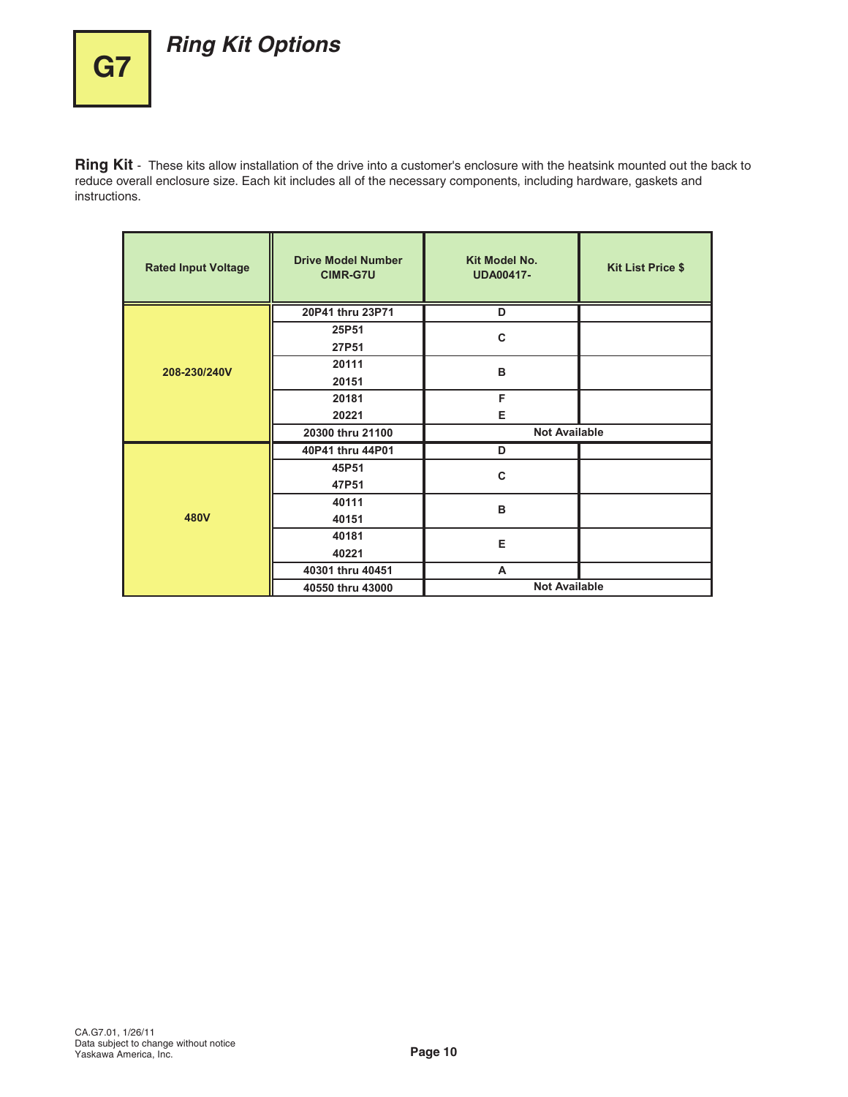# **Ring Kit Options**

**G7**

**Ring Kit** - These kits allow installation of the drive into a customer's enclosure with the heatsink mounted out the back to reduce overall enclosure size. Each kit includes all of the necessary components, including hardware, gaskets and instructions.

| <b>Rated Input Voltage</b> | <b>Drive Model Number</b><br><b>CIMR-G7U</b> | Kit Model No.<br><b>UDA00417-</b> | <b>Kit List Price \$</b> |  |  |  |  |
|----------------------------|----------------------------------------------|-----------------------------------|--------------------------|--|--|--|--|
|                            | 20P41 thru 23P71                             | D                                 |                          |  |  |  |  |
|                            | 25P51<br>27P51                               | C                                 |                          |  |  |  |  |
| 208-230/240V               | 20111<br>20151                               | B                                 |                          |  |  |  |  |
|                            | 20181                                        | F                                 |                          |  |  |  |  |
|                            | 20221                                        | Е                                 |                          |  |  |  |  |
|                            | 20300 thru 21100                             | <b>Not Available</b>              |                          |  |  |  |  |
|                            | 40P41 thru 44P01                             | D                                 |                          |  |  |  |  |
|                            | 45P51<br>47P51                               | C                                 |                          |  |  |  |  |
|                            | 40111                                        | B                                 |                          |  |  |  |  |
| 480V                       | 40151                                        |                                   |                          |  |  |  |  |
|                            | 40181                                        | Е                                 |                          |  |  |  |  |
|                            | 40221                                        |                                   |                          |  |  |  |  |
|                            | 40301 thru 40451                             | A                                 |                          |  |  |  |  |
|                            | 40550 thru 43000                             | <b>Not Available</b>              |                          |  |  |  |  |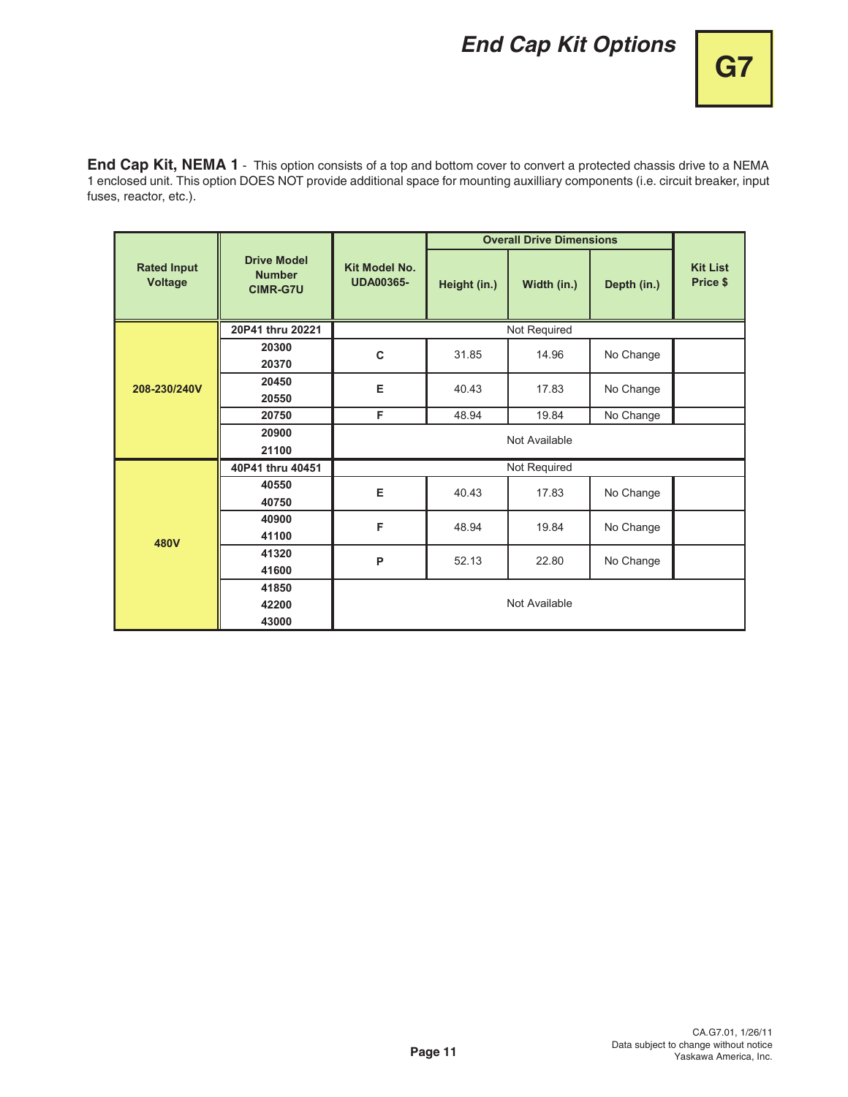# **End Cap Kit Options**

**End Cap Kit, NEMA 1** - This option consists of a top and bottom cover to convert a protected chassis drive to a NEMA 1 enclosed unit. This option DOES NOT provide additional space for mounting auxilliary components (i.e. circuit breaker, input fuses, reactor, etc.).

|                                      |                                                        |                                          |              | <b>Overall Drive Dimensions</b> |             |                             |  |  |  |  |  |
|--------------------------------------|--------------------------------------------------------|------------------------------------------|--------------|---------------------------------|-------------|-----------------------------|--|--|--|--|--|
| <b>Rated Input</b><br><b>Voltage</b> | <b>Drive Model</b><br><b>Number</b><br><b>CIMR-G7U</b> | <b>Kit Model No.</b><br><b>UDA00365-</b> | Height (in.) | Width (in.)                     | Depth (in.) | <b>Kit List</b><br>Price \$ |  |  |  |  |  |
|                                      | 20P41 thru 20221                                       |                                          |              | Not Required                    |             |                             |  |  |  |  |  |
|                                      | 20300<br>20370                                         | C                                        | 31.85        | 14.96                           | No Change   |                             |  |  |  |  |  |
| 208-230/240V                         | 20450<br>20550                                         | E                                        | 40.43        | 17.83                           | No Change   |                             |  |  |  |  |  |
|                                      | 20750                                                  | F                                        | 48.94        | 19.84                           | No Change   |                             |  |  |  |  |  |
|                                      | 20900                                                  | Not Available                            |              |                                 |             |                             |  |  |  |  |  |
|                                      | 21100                                                  |                                          |              |                                 |             |                             |  |  |  |  |  |
|                                      | 40P41 thru 40451                                       | Not Required                             |              |                                 |             |                             |  |  |  |  |  |
|                                      | 40550<br>40750                                         | Е                                        | 40.43        | 17.83                           | No Change   |                             |  |  |  |  |  |
|                                      | 40900<br>41100                                         | F                                        | 48.94        | 19.84                           | No Change   |                             |  |  |  |  |  |
| 480V                                 | 41320<br>41600                                         | P                                        | 52.13        | 22.80                           | No Change   |                             |  |  |  |  |  |
|                                      | 41850<br>42200<br>43000                                |                                          |              | Not Available                   |             |                             |  |  |  |  |  |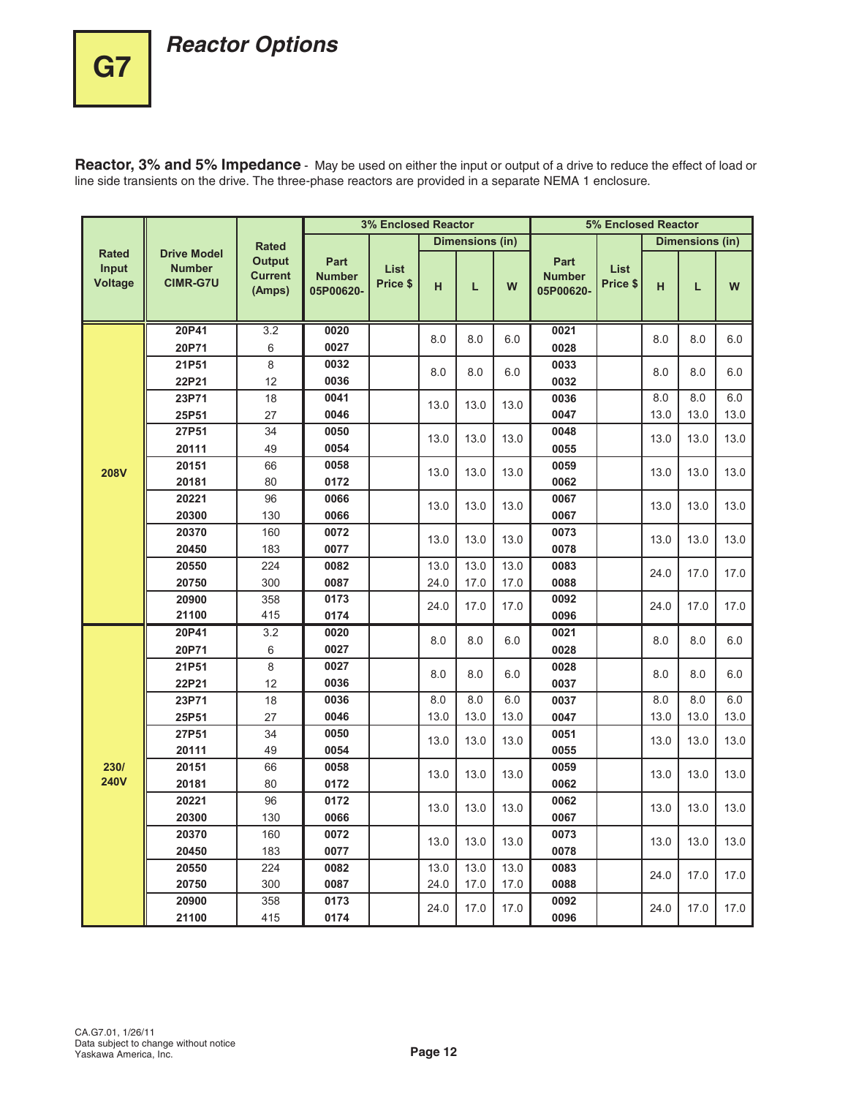**G7**

**Reactor, 3% and 5% Impedance** - May be used on either the input or output of a drive to reduce the effect of load or line side transients on the drive. The three-phase reactors are provided in a separate NEMA 1 enclosure.

|                                         |                                                        |                                           | <b>3% Enclosed Reactor</b>         |                         |      |                 | 5% Enclosed Reactor |                                    |                         |      |                 |      |
|-----------------------------------------|--------------------------------------------------------|-------------------------------------------|------------------------------------|-------------------------|------|-----------------|---------------------|------------------------------------|-------------------------|------|-----------------|------|
|                                         |                                                        | <b>Rated</b>                              |                                    |                         |      | Dimensions (in) |                     |                                    |                         |      | Dimensions (in) |      |
| <b>Rated</b><br>Input<br><b>Voltage</b> | <b>Drive Model</b><br><b>Number</b><br><b>CIMR-G7U</b> | <b>Output</b><br><b>Current</b><br>(Amps) | Part<br><b>Number</b><br>05P00620- | <b>List</b><br>Price \$ | н    | L               | W                   | Part<br><b>Number</b><br>05P00620- | <b>List</b><br>Price \$ | н    | L               | W    |
|                                         | 20P41                                                  | 3.2                                       | 0020                               |                         |      |                 |                     | 0021                               |                         |      |                 |      |
|                                         | 20P71                                                  | 6                                         | 0027                               |                         | 8.0  | 8.0             | 6.0                 | 0028                               |                         | 8.0  | 8.0             | 6.0  |
|                                         | 21P51                                                  | 8                                         | 0032                               |                         | 8.0  | 8.0             | 6.0                 | 0033                               |                         | 8.0  | 8.0             | 6.0  |
|                                         | 22P21                                                  | 12                                        | 0036                               |                         |      |                 |                     | 0032                               |                         |      |                 |      |
|                                         | 23P71                                                  | 18                                        | 0041                               |                         | 13.0 | 13.0            | 13.0                | 0036                               |                         | 8.0  | 8.0             | 6.0  |
|                                         | 25P51                                                  | 27                                        | 0046                               |                         |      |                 |                     | 0047                               |                         | 13.0 | 13.0            | 13.0 |
|                                         | 27P51                                                  | 34                                        | 0050                               |                         | 13.0 | 13.0            | 13.0                | 0048                               |                         | 13.0 | 13.0            | 13.0 |
|                                         | 20111                                                  | 49                                        | 0054                               |                         |      |                 |                     | 0055                               |                         |      |                 |      |
| <b>208V</b>                             | 20151                                                  | 66                                        | 0058                               |                         | 13.0 | 13.0            | 13.0                | 0059                               |                         | 13.0 | 13.0            | 13.0 |
|                                         | 20181                                                  | 80                                        | 0172                               |                         |      |                 |                     | 0062                               |                         |      |                 |      |
|                                         | 20221                                                  | 96                                        | 0066                               |                         | 13.0 | 13.0            | 13.0                | 0067                               |                         | 13.0 | 13.0            | 13.0 |
|                                         | 20300                                                  | 130                                       | 0066                               |                         |      |                 |                     | 0067                               |                         |      |                 |      |
|                                         | 20370                                                  | 160                                       | 0072                               |                         | 13.0 | 13.0            | 13.0                | 0073                               |                         | 13.0 | 13.0            | 13.0 |
|                                         | 20450                                                  | 183                                       | 0077                               |                         |      |                 |                     | 0078                               |                         |      |                 |      |
|                                         | 20550                                                  | 224                                       | 0082                               |                         | 13.0 | 13.0            | 13.0                | 0083                               |                         | 24.0 | 17.0            | 17.0 |
|                                         | 20750                                                  | 300                                       | 0087                               |                         | 24.0 | 17.0            | 17.0                | 0088                               |                         |      |                 |      |
|                                         | 20900                                                  | 358                                       | 0173                               |                         | 24.0 | 17.0            | 17.0                | 0092                               |                         | 24.0 | 17.0            | 17.0 |
|                                         | 21100                                                  | 415                                       | 0174                               |                         |      |                 |                     | 0096                               |                         |      |                 |      |
|                                         | 20P41                                                  | 3.2                                       | 0020                               |                         | 8.0  | 8.0             | 6.0                 | 0021                               |                         | 8.0  | 8.0             | 6.0  |
|                                         | 20P71                                                  | 6                                         | 0027                               |                         |      |                 |                     | 0028                               |                         |      |                 |      |
|                                         | 21P51                                                  | 8                                         | 0027                               |                         | 8.0  | 8.0             | 6.0                 | 0028                               |                         | 8.0  | 8.0             | 6.0  |
|                                         | 22P21                                                  | 12                                        | 0036                               |                         |      |                 |                     | 0037                               |                         |      |                 |      |
|                                         | 23P71                                                  | 18                                        | 0036                               |                         | 8.0  | 8.0             | 6.0                 | 0037                               |                         | 8.0  | 8.0             | 6.0  |
|                                         | 25P51                                                  | 27                                        | 0046                               |                         | 13.0 | 13.0            | 13.0                | 0047                               |                         | 13.0 | 13.0            | 13.0 |
|                                         | 27P51                                                  | 34                                        | 0050                               |                         | 13.0 | 13.0            | 13.0                | 0051                               |                         | 13.0 | 13.0            | 13.0 |
|                                         | 20111                                                  | 49                                        | 0054                               |                         |      |                 |                     | 0055                               |                         |      |                 |      |
| 230/<br><b>240V</b>                     | 20151                                                  | 66                                        | 0058                               |                         | 13.0 | 13.0            | 13.0                | 0059                               |                         | 13.0 | 13.0            | 13.0 |
|                                         | 20181                                                  | 80                                        | 0172                               |                         |      |                 |                     | 0062                               |                         |      |                 |      |
|                                         | 20221                                                  | 96                                        | 0172                               |                         | 13.0 | 13.0            | 13.0                | 0062                               |                         | 13.0 | 13.0            | 13.0 |
|                                         | 20300                                                  | 130                                       | 0066                               |                         |      |                 |                     | 0067                               |                         |      |                 |      |
|                                         | 20370                                                  | 160                                       | 0072                               |                         | 13.0 | 13.0            | 13.0                | 0073                               |                         | 13.0 | 13.0            | 13.0 |
|                                         | 20450                                                  | 183                                       | 0077                               |                         |      |                 |                     | 0078                               |                         |      |                 |      |
|                                         | 20550                                                  | 224                                       | 0082                               |                         | 13.0 | 13.0            | 13.0                | 0083                               |                         | 24.0 | 17.0            | 17.0 |
|                                         | 20750                                                  | 300                                       | 0087                               |                         | 24.0 | 17.0            | 17.0                | 0088                               |                         |      |                 |      |
|                                         | 20900                                                  | 358                                       | 0173                               |                         | 24.0 | 17.0            | 17.0                | 0092                               |                         | 24.0 | 17.0            | 17.0 |
|                                         | 21100                                                  | 415                                       | 0174                               |                         |      |                 |                     | 0096                               |                         |      |                 |      |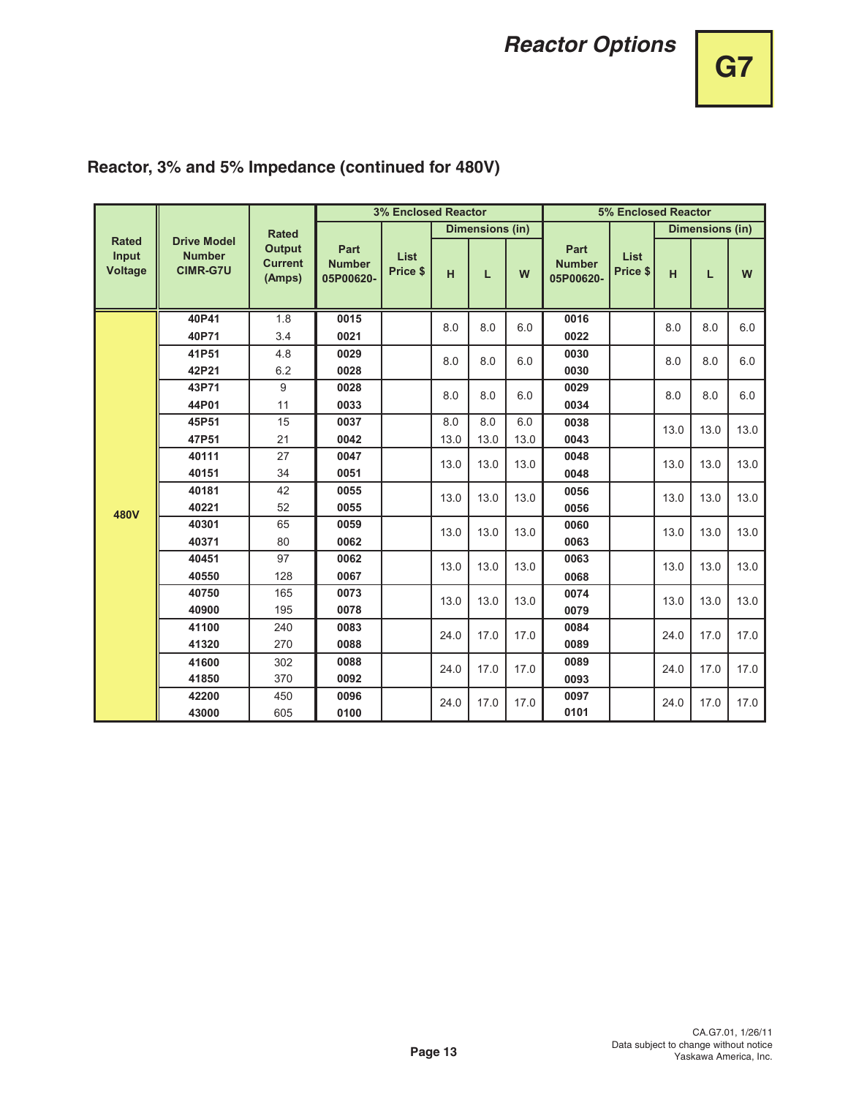# **G7**

|                                         |                                                        |                                           |                                    | <b>3% Enclosed Reactor</b> |      |                 |      |                                    | 5% Enclosed Reactor |      |                 |      |
|-----------------------------------------|--------------------------------------------------------|-------------------------------------------|------------------------------------|----------------------------|------|-----------------|------|------------------------------------|---------------------|------|-----------------|------|
|                                         |                                                        | <b>Rated</b>                              |                                    |                            |      | Dimensions (in) |      |                                    |                     |      | Dimensions (in) |      |
| <b>Rated</b><br>Input<br><b>Voltage</b> | <b>Drive Model</b><br><b>Number</b><br><b>CIMR-G7U</b> | <b>Output</b><br><b>Current</b><br>(Amps) | Part<br><b>Number</b><br>05P00620- | List<br>Price \$           | H    | L               | W    | Part<br><b>Number</b><br>05P00620- | List<br>Price \$    | H    | L               | W    |
|                                         | 40P41                                                  | 1.8                                       | 0015                               |                            | 8.0  | 8.0             | 6.0  | 0016                               |                     | 8.0  | 8.0             | 6.0  |
|                                         | 40P71                                                  | 3.4                                       | 0021                               |                            |      |                 |      | 0022                               |                     |      |                 |      |
|                                         | 41P51                                                  | 4.8                                       | 0029                               |                            | 8.0  | 8.0             | 6.0  | 0030                               |                     | 8.0  | 8.0             | 6.0  |
|                                         | 42P21                                                  | 6.2                                       | 0028                               |                            |      |                 |      | 0030                               |                     |      |                 |      |
|                                         | 43P71                                                  | 9                                         | 0028                               |                            | 8.0  | 8.0             | 6.0  | 0029                               |                     | 8.0  | 8.0             | 6.0  |
|                                         | 44P01                                                  | 11                                        | 0033                               |                            |      |                 |      | 0034                               |                     |      |                 |      |
|                                         | 45P51                                                  | 15                                        | 0037                               |                            | 8.0  | 8.0             | 6.0  | 0038                               |                     | 13.0 | 13.0            | 13.0 |
|                                         | 47P51                                                  | 21                                        | 0042                               |                            | 13.0 | 13.0            | 13.0 | 0043                               |                     |      |                 |      |
|                                         | 40111                                                  | 27                                        | 0047                               |                            | 13.0 | 13.0            | 13.0 | 0048                               |                     | 13.0 | 13.0            | 13.0 |
|                                         | 40151                                                  | 34                                        | 0051                               |                            |      |                 |      | 0048                               |                     |      |                 |      |
|                                         | 40181                                                  | 42                                        | 0055                               |                            | 13.0 | 13.0            | 13.0 | 0056                               |                     | 13.0 | 13.0            | 13.0 |
| 480V                                    | 40221                                                  | 52                                        | 0055                               |                            |      |                 |      | 0056                               |                     |      |                 |      |
|                                         | 40301                                                  | 65                                        | 0059                               |                            | 13.0 | 13.0            | 13.0 | 0060                               |                     | 13.0 | 13.0            | 13.0 |
|                                         | 40371                                                  | 80                                        | 0062                               |                            |      |                 |      | 0063                               |                     |      |                 |      |
|                                         | 40451                                                  | 97                                        | 0062                               |                            | 13.0 | 13.0            | 13.0 | 0063                               |                     | 13.0 | 13.0            | 13.0 |
|                                         | 40550                                                  | 128                                       | 0067                               |                            |      |                 |      | 0068                               |                     |      |                 |      |
|                                         | 40750                                                  | 165                                       | 0073                               |                            | 13.0 | 13.0            | 13.0 | 0074                               |                     | 13.0 | 13.0            | 13.0 |
|                                         | 40900                                                  | 195                                       | 0078                               |                            |      |                 |      | 0079                               |                     |      |                 |      |
|                                         | 41100                                                  | 240                                       | 0083                               |                            | 24.0 | 17.0            | 17.0 | 0084                               |                     | 24.0 | 17.0            | 17.0 |
|                                         | 41320                                                  | 270                                       | 0088                               |                            |      |                 |      | 0089                               |                     |      |                 |      |
|                                         | 41600                                                  | 302                                       | 0088                               |                            | 24.0 | 17.0            | 17.0 | 0089                               |                     | 24.0 | 17.0            | 17.0 |
|                                         | 41850                                                  | 370                                       | 0092                               |                            |      |                 |      | 0093                               |                     |      |                 |      |
|                                         | 42200                                                  | 450                                       | 0096                               |                            | 24.0 | 17.0            | 17.0 | 0097                               |                     | 24.0 | 17.0            | 17.0 |
|                                         | 43000                                                  | 605                                       | 0100                               |                            |      |                 |      | 0101                               |                     |      |                 |      |

## **Reactor, 3% and 5% Impedance (continued for 480V)**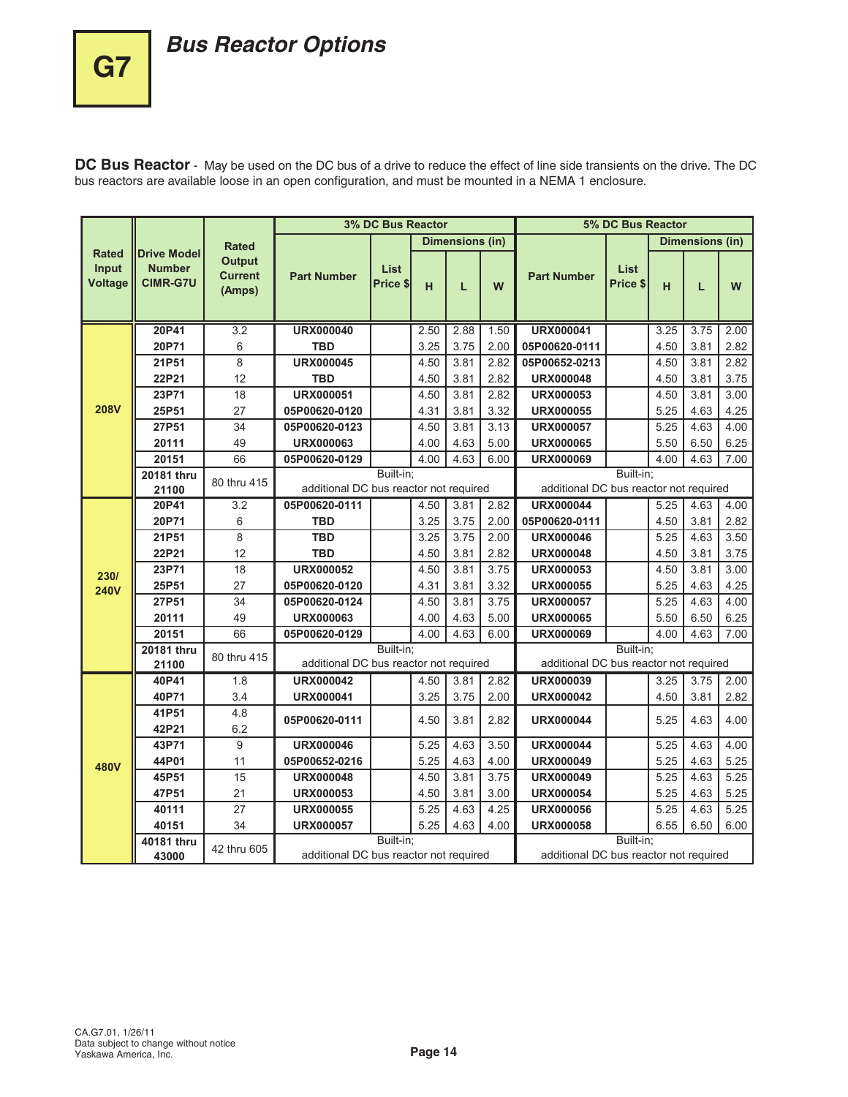# **Bus Reactor Options**

**DC Bus Reactor** - May be used on the DC bus of a drive to reduce the effect of line side transients on the drive. The DC bus reactors are available loose in an open configuration, and must be mounted in a NEMA 1 enclosure.

|                                         |                                                        |                                           |                                        | 3% DC Bus Reactor |      |                        |      |                                        | 5% DC Bus Reactor       |      |                        |      |
|-----------------------------------------|--------------------------------------------------------|-------------------------------------------|----------------------------------------|-------------------|------|------------------------|------|----------------------------------------|-------------------------|------|------------------------|------|
|                                         |                                                        | <b>Rated</b>                              |                                        |                   |      | <b>Dimensions (in)</b> |      |                                        |                         |      | <b>Dimensions (in)</b> |      |
| <b>Rated</b><br>Input<br><b>Voltage</b> | <b>Drive Model</b><br><b>Number</b><br><b>CIMR-G7U</b> | <b>Output</b><br><b>Current</b><br>(Amps) | <b>Part Number</b>                     | List<br>Price \$  | н    | L                      | W    | <b>Part Number</b>                     | <b>List</b><br>Price \$ | н    | L                      | W    |
|                                         | 20P41                                                  | 3.2                                       | <b>URX000040</b>                       |                   | 2.50 | 2.88                   | 1.50 | <b>URX000041</b>                       |                         | 3.25 | 3.75                   | 2.00 |
|                                         | 20P71                                                  | 6                                         | <b>TBD</b>                             |                   | 3.25 | 3.75                   | 2.00 | 05P00620-0111                          |                         | 4.50 | 3.81                   | 2.82 |
|                                         | 21P51                                                  | 8                                         | <b>URX000045</b>                       |                   | 4.50 | 3.81                   | 2.82 | 05P00652-0213                          |                         | 4.50 | 3.81                   | 2.82 |
|                                         | 22P21                                                  | 12                                        | <b>TBD</b>                             |                   | 4.50 | 3.81                   | 2.82 | <b>URX000048</b>                       |                         | 4.50 | 3.81                   | 3.75 |
|                                         | 23P71                                                  | 18                                        | <b>URX000051</b>                       |                   | 4.50 | 3.81                   | 2.82 | <b>URX000053</b>                       |                         | 4.50 | 3.81                   | 3.00 |
| <b>208V</b>                             | 25P51                                                  | 27                                        | 05P00620-0120                          |                   | 4.31 | 3.81                   | 3.32 | <b>URX000055</b>                       |                         | 5.25 | 4.63                   | 4.25 |
|                                         | 27P51                                                  | 34                                        | 05P00620-0123                          |                   | 4.50 | 3.81                   | 3.13 | <b>URX000057</b>                       |                         | 5.25 | 4.63                   | 4.00 |
|                                         | 20111                                                  | 49                                        | <b>URX000063</b>                       |                   | 4.00 | 4.63                   | 5.00 | <b>URX000065</b>                       |                         | 5.50 | 6.50                   | 6.25 |
|                                         | 20151                                                  | 66                                        | 05P00620-0129                          |                   | 4.00 | 4.63                   | 6.00 | <b>URX000069</b>                       |                         | 4.00 | 4.63                   | 7.00 |
|                                         | 20181 thru<br>21100                                    | 80 thru 415                               | additional DC bus reactor not required | Built-in;         |      |                        |      | additional DC bus reactor not required | Built-in;               |      |                        |      |
|                                         | 20P41                                                  | 3.2                                       | 05P00620-0111                          |                   | 4.50 | 3.81                   | 2.82 | <b>URX000044</b>                       |                         | 5.25 | 4.63                   | 4.00 |
|                                         | 20P71                                                  | 6                                         | <b>TBD</b>                             |                   | 3.25 | 3.75                   | 2.00 | 05P00620-0111                          |                         | 4.50 | 3.81                   | 2.82 |
|                                         | 21P51                                                  | 8                                         | <b>TBD</b>                             |                   | 3.25 | 3.75                   | 2.00 | <b>URX000046</b>                       |                         | 5.25 | 4.63                   | 3.50 |
|                                         | 22P21                                                  | 12                                        | <b>TBD</b>                             |                   | 4.50 | 3.81                   | 2.82 | <b>URX000048</b>                       |                         | 4.50 | 3.81                   | 3.75 |
| 230/                                    | 23P71                                                  | $\overline{18}$                           | <b>URX000052</b>                       |                   | 4.50 | 3.81                   | 3.75 | <b>URX000053</b>                       |                         | 4.50 | 3.81                   | 3.00 |
| <b>240V</b>                             | 25P51                                                  | 27                                        | 05P00620-0120                          |                   | 4.31 | 3.81                   | 3.32 | <b>URX000055</b>                       |                         | 5.25 | 4.63                   | 4.25 |
|                                         | 27P51                                                  | 34                                        | 05P00620-0124                          |                   | 4.50 | 3.81                   | 3.75 | <b>URX000057</b>                       |                         | 5.25 | 4.63                   | 4.00 |
|                                         | 20111                                                  | 49                                        | <b>URX000063</b>                       |                   | 4.00 | 4.63                   | 5.00 | <b>URX000065</b>                       |                         | 5.50 | 6.50                   | 6.25 |
|                                         | 20151                                                  | 66                                        | 05P00620-0129                          |                   | 4.00 | 4.63                   | 6.00 | <b>URX000069</b>                       |                         | 4.00 | 4.63                   | 7.00 |
|                                         | 20181 thru<br>21100                                    | 80 thru 415                               | additional DC bus reactor not required | Built-in:         |      |                        |      | additional DC bus reactor not required | Built-in;               |      |                        |      |
|                                         | 40P41                                                  | 1.8                                       | <b>URX000042</b>                       |                   | 4.50 | 3.81                   | 2.82 | <b>URX000039</b>                       |                         | 3.25 | 3.75                   | 2.00 |
|                                         | 40P71                                                  | 3.4                                       | <b>URX000041</b>                       |                   | 3.25 | 3.75                   | 2.00 | <b>URX000042</b>                       |                         | 4.50 | 3.81                   | 2.82 |
|                                         | 41P51<br>42P21                                         | 4.8<br>6.2                                | 05P00620-0111                          |                   | 4.50 | 3.81                   | 2.82 | <b>URX000044</b>                       |                         | 5.25 | 4.63                   | 4.00 |
|                                         | 43P71                                                  | 9                                         | <b>URX000046</b>                       |                   | 5.25 | 4.63                   | 3.50 | <b>URX000044</b>                       |                         | 5.25 | 4.63                   | 4.00 |
| <b>480V</b>                             | 44P01                                                  | 11                                        | 05P00652-0216                          |                   | 5.25 | 4.63                   | 4.00 | <b>URX000049</b>                       |                         | 5.25 | 4.63                   | 5.25 |
|                                         | 45P51                                                  | $\overline{15}$                           | <b>URX000048</b>                       |                   | 4.50 | 3.81                   | 3.75 | <b>URX000049</b>                       |                         | 5.25 | 4.63                   | 5.25 |
|                                         | 47P51                                                  | 21                                        | <b>URX000053</b>                       |                   | 4.50 | 3.81                   | 3.00 | <b>URX000054</b>                       |                         | 5.25 | 4.63                   | 5.25 |
|                                         | 40111                                                  | 27                                        | <b>URX000055</b>                       |                   | 5.25 | 4.63                   | 4.25 | <b>URX000056</b>                       |                         | 5.25 | 4.63                   | 5.25 |
|                                         | 40151                                                  | 34                                        | <b>URX000057</b>                       |                   | 5.25 | 4.63                   | 4.00 | <b>URX000058</b>                       |                         | 6.55 | 6.50                   | 6.00 |
|                                         | 40181 thru<br>43000                                    | 42 thru 605                               | additional DC bus reactor not required | Built-in;         |      |                        |      | additional DC bus reactor not required | Built-in;               |      |                        |      |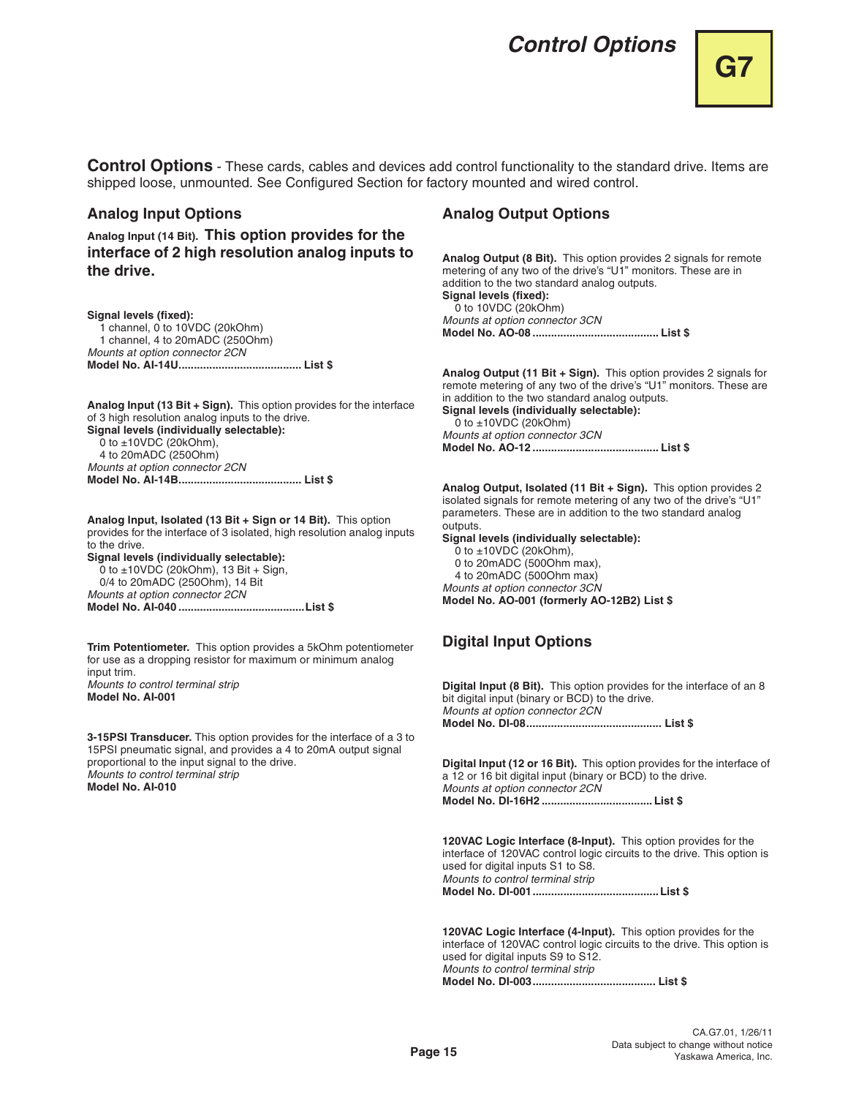# **Control Options**

**Control Options** - These cards, cables and devices add control functionality to the standard drive. Items are shipped loose, unmounted. See Configured Section for factory mounted and wired control.

## **Analog Input Options**

**Analog Input (14 Bit). This option provides for the interface of 2 high resolution analog inputs to the drive.**

**Signal levels (fixed):** 

1 channel, 0 to 10VDC (20kOhm) 1 channel, 4 to 20mADC (250Ohm) Mounts at option connector 2CN **Model No. AI-14U........................................ List \$**

**Analog Input (13 Bit + Sign).** This option provides for the interface of 3 high resolution analog inputs to the drive. **Signal levels (individually selectable):**  0 to  $\pm$ 10VDC (20kOhm), 4 to 20mADC (250Ohm) Mounts at option connector 2CN **Model No. AI-14B........................................ List \$**

**Analog Input, Isolated (13 Bit + Sign or 14 Bit).** This option provides for the interface of 3 isolated, high resolution analog inputs to the drive.

**Signal levels (individually selectable):**  0 to  $\pm$ 10VDC (20kOhm), 13 Bit + Sign, 0/4 to 20mADC (250Ohm), 14 Bit Mounts at option connector 2CN **Model No. AI-040 .........................................List \$**

**Trim Potentiometer.** This option provides a 5kOhm potentiometer for use as a dropping resistor for maximum or minimum analog input trim. Mounts to control terminal strip **Model No. AI-001**

**3-15PSI Transducer.** This option provides for the interface of a 3 to 15PSI pneumatic signal, and provides a 4 to 20mA output signal proportional to the input signal to the drive. Mounts to control terminal strip **Model No. AI-010**

## **Analog Output Options**

**Analog Output (8 Bit).** This option provides 2 signals for remote metering of any two of the drive's "U1" monitors. These are in addition to the two standard analog outputs. **Signal levels (fixed):**  0 to 10VDC (20kOhm) Mounts at option connector 3CN **Model No. AO-08 ......................................... List \$**

**Analog Output (11 Bit + Sign).** This option provides 2 signals for remote metering of any two of the drive's "U1" monitors. These are in addition to the two standard analog outputs. **Signal levels (individually selectable):**  0 to  $\pm$ 10VDC (20kOhm) Mounts at option connector 3CN **Model No. AO-12 ......................................... List \$**

**Analog Output, Isolated (11 Bit + Sign).** This option provides 2 isolated signals for remote metering of any two of the drive's "U1" parameters. These are in addition to the two standard analog outputs.

**Signal levels (individually selectable):** 0 to  $\pm$ 10VDC (20kOhm), 0 to 20mADC (500Ohm max), 4 to 20mADC (500Ohm max) Mounts at option connector 3CN

#### **Model No. AO-001 (formerly AO-12B2) List \$**

## **Digital Input Options**

**Digital Input (8 Bit).** This option provides for the interface of an 8 bit digital input (binary or BCD) to the drive. Mounts at option connector 2CN **Model No. DI-08............................................ List \$**

**Digital Input (12 or 16 Bit).** This option provides for the interface of a 12 or 16 bit digital input (binary or BCD) to the drive. Mounts at option connector 2CN **Model No. DI-16H2 .................................... List \$**

**120VAC Logic Interface (8-Input).** This option provides for the interface of 120VAC control logic circuits to the drive. This option is used for digital inputs S1 to S8. Mounts to control terminal strip **Model No. DI-001.........................................List \$**

**120VAC Logic Interface (4-Input).** This option provides for the interface of 120VAC control logic circuits to the drive. This option is used for digital inputs S9 to S12. Mounts to control terminal strip **Model No. DI-003........................................ List \$**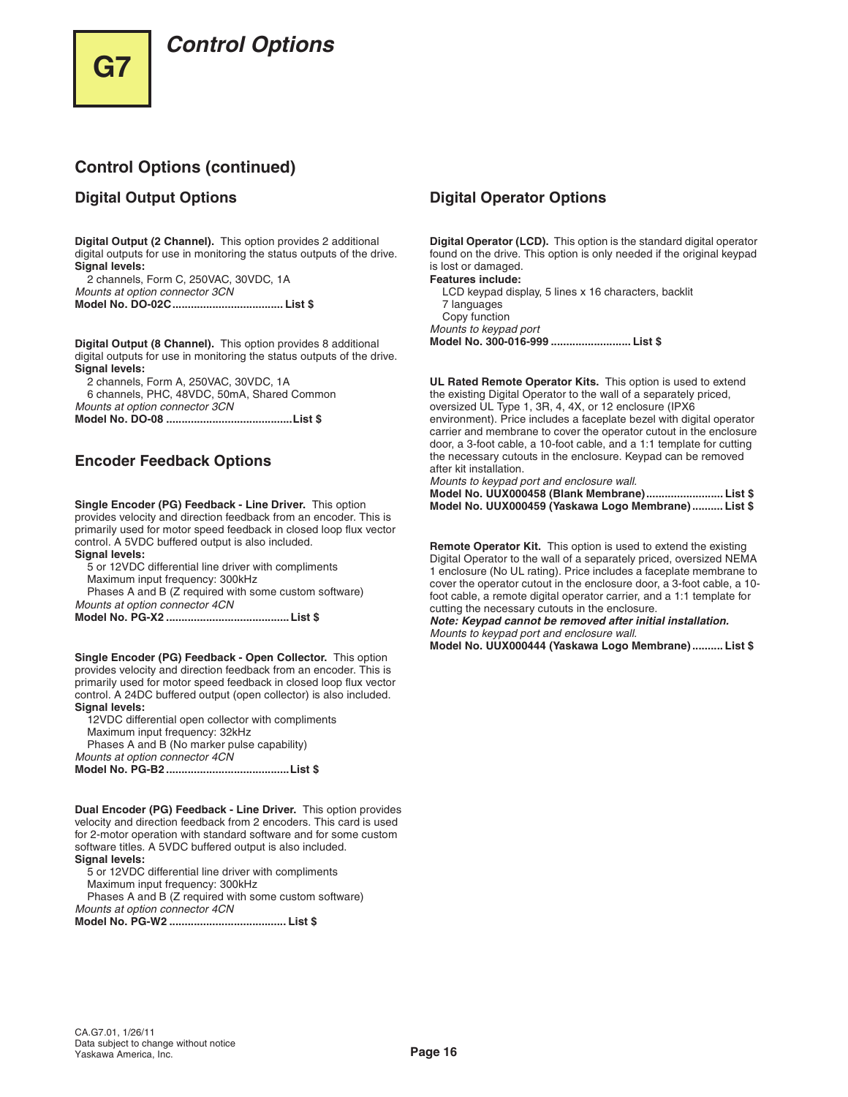# **Control Options**

## **Control Options (continued)**

## **Digital Output Options**

**Digital Output (2 Channel).** This option provides 2 additional digital outputs for use in monitoring the status outputs of the drive. **Signal levels:**

2 channels, Form C, 250VAC, 30VDC, 1A Mounts at option connector 3CN **Model No. DO-02C.................................... List \$**

**Digital Output (8 Channel).** This option provides 8 additional digital outputs for use in monitoring the status outputs of the drive. **Signal levels:**

2 channels, Form A, 250VAC, 30VDC, 1A

6 channels, PHC, 48VDC, 50mA, Shared Common Mounts at option connector 3CN **Model No. DO-08 .........................................List \$**

**Encoder Feedback Options**

**Single Encoder (PG) Feedback - Line Driver.** This option provides velocity and direction feedback from an encoder. This is primarily used for motor speed feedback in closed loop flux vector control. A 5VDC buffered output is also included. **Signal levels:**

5 or 12VDC differential line driver with compliments Maximum input frequency: 300kHz

Phases A and B (Z required with some custom software) Mounts at option connector 4CN

**Model No. PG-X2 ........................................List \$**

**Single Encoder (PG) Feedback - Open Collector.** This option provides velocity and direction feedback from an encoder. This is primarily used for motor speed feedback in closed loop flux vector control. A 24DC buffered output (open collector) is also included. **Signal levels:**

12VDC differential open collector with compliments Maximum input frequency: 32kHz Phases A and B (No marker pulse capability)

Mounts at option connector 4CN **Model No. PG-B2 ........................................List \$**

**Dual Encoder (PG) Feedback - Line Driver.** This option provides velocity and direction feedback from 2 encoders. This card is used for 2-motor operation with standard software and for some custom software titles. A 5VDC buffered output is also included. **Signal levels:**

5 or 12VDC differential line driver with compliments

Maximum input frequency: 300kHz

Phases A and B (Z required with some custom software) Mounts at option connector 4CN

**Model No. PG-W2 ...................................... List \$**

## **Digital Operator Options**

**Digital Operator (LCD).** This option is the standard digital operator found on the drive. This option is only needed if the original keypad is lost or damaged.

**Features include:** LCD keypad display, 5 lines x 16 characters, backlit 7 languages Copy function Mounts to keypad port **Model No. 300-016-999 .......................... List \$**

**UL Rated Remote Operator Kits.** This option is used to extend the existing Digital Operator to the wall of a separately priced, oversized UL Type 1, 3R, 4, 4X, or 12 enclosure (IPX6 environment). Price includes a faceplate bezel with digital operator carrier and membrane to cover the operator cutout in the enclosure door, a 3-foot cable, a 10-foot cable, and a 1:1 template for cutting the necessary cutouts in the enclosure. Keypad can be removed after kit installation.

Mounts to keypad port and enclosure wall.

| Model No. UUX000458 (Blank Membrane) List \$         |  |
|------------------------------------------------------|--|
| Model No. UUX000459 (Yaskawa Logo Membrane)  List \$ |  |

**Remote Operator Kit.** This option is used to extend the existing Digital Operator to the wall of a separately priced, oversized NEMA 1 enclosure (No UL rating). Price includes a faceplate membrane to cover the operator cutout in the enclosure door, a 3-foot cable, a 10 foot cable, a remote digital operator carrier, and a 1:1 template for cutting the necessary cutouts in the enclosure.

**Note: Keypad cannot be removed after initial installation.**  Mounts to keypad port and enclosure wall.

**Model No. UUX000444 (Yaskawa Logo Membrane) .......... List \$**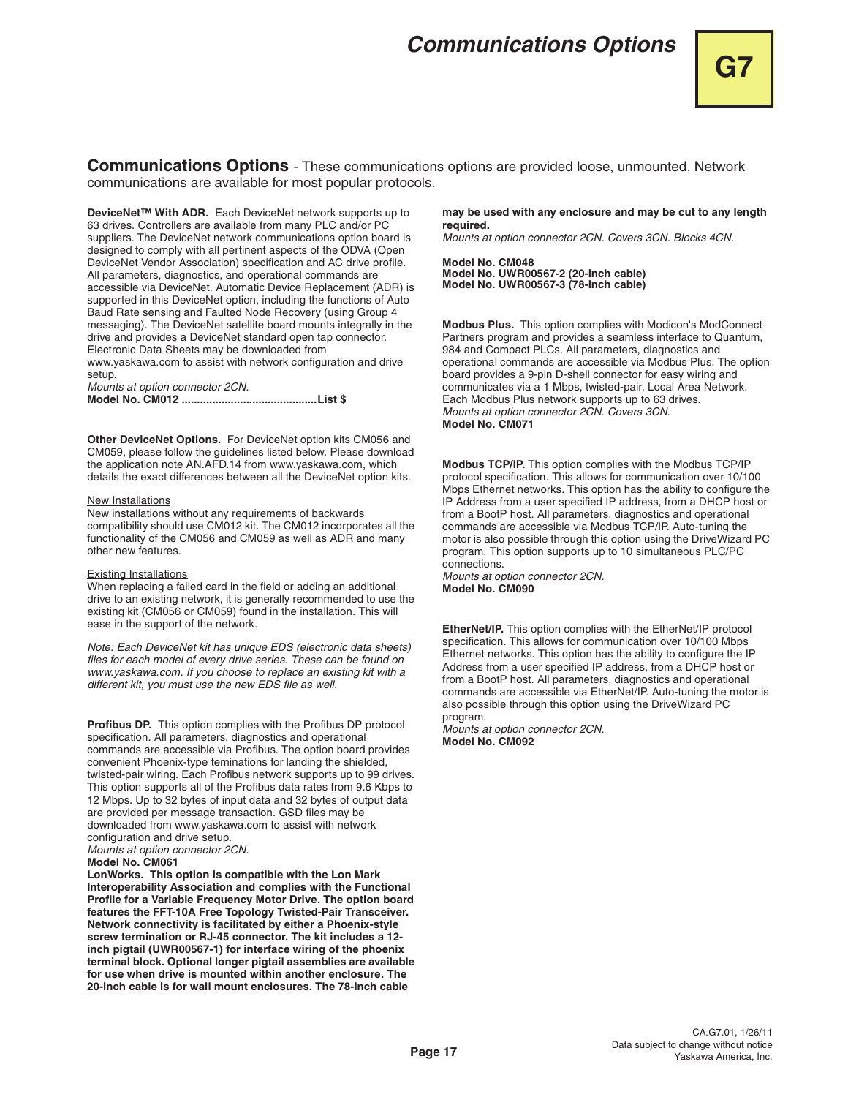# **Communications Options**

**Communications Options** - These communications options are provided loose, unmounted. Network communications are available for most popular protocols.

**DeviceNet™ With ADR.** Each DeviceNet network supports up to 63 drives. Controllers are available from many PLC and/or PC suppliers. The DeviceNet network communications option board is designed to comply with all pertinent aspects of the ODVA (Open DeviceNet Vendor Association) specification and AC drive profile. All parameters, diagnostics, and operational commands are accessible via DeviceNet. Automatic Device Replacement (ADR) is supported in this DeviceNet option, including the functions of Auto Baud Rate sensing and Faulted Node Recovery (using Group 4 messaging). The DeviceNet satellite board mounts integrally in the drive and provides a DeviceNet standard open tap connector. Electronic Data Sheets may be downloaded from www.yaskawa.com to assist with network configuration and drive

setup. Mounts at option connector 2CN. **Model No. CM012 ............................................List \$**

**Other DeviceNet Options.** For DeviceNet option kits CM056 and CM059, please follow the guidelines listed below. Please download the application note AN.AFD.14 from www.yaskawa.com, which details the exact differences between all the DeviceNet option kits.

#### New Installations

New installations without any requirements of backwards compatibility should use CM012 kit. The CM012 incorporates all the functionality of the CM056 and CM059 as well as ADR and many other new features.

#### Existing Installations

When replacing a failed card in the field or adding an additional drive to an existing network, it is generally recommended to use the existing kit (CM056 or CM059) found in the installation. This will ease in the support of the network.

Note: Each DeviceNet kit has unique EDS (electronic data sheets) files for each model of every drive series. These can be found on www.yaskawa.com. If you choose to replace an existing kit with a different kit, you must use the new EDS file as well.

**Profibus DP.** This option complies with the Profibus DP protocol specification. All parameters, diagnostics and operational commands are accessible via Profibus. The option board provides convenient Phoenix-type teminations for landing the shielded, twisted-pair wiring. Each Profibus network supports up to 99 drives. This option supports all of the Profibus data rates from 9.6 Kbps to 12 Mbps. Up to 32 bytes of input data and 32 bytes of output data are provided per message transaction. GSD files may be downloaded from www.yaskawa.com to assist with network configuration and drive setup.

Mounts at option connector 2CN.

#### **Model No. CM061**

**LonWorks. This option is compatible with the Lon Mark Interoperability Association and complies with the Functional Profile for a Variable Frequency Motor Drive. The option board features the FFT-10A Free Topology Twisted-Pair Transceiver. Network connectivity is facilitated by either a Phoenix-style screw termination or RJ-45 connector. The kit includes a 12 inch pigtail (UWR00567-1) for interface wiring of the phoenix terminal block. Optional longer pigtail assemblies are available for use when drive is mounted within another enclosure. The 20-inch cable is for wall mount enclosures. The 78-inch cable** 

**may be used with any enclosure and may be cut to any length required.**

Mounts at option connector 2CN. Covers 3CN. Blocks 4CN.

**Model No. CM048 Model No. UWR00567-2 (20-inch cable) Model No. UWR00567-3 (78-inch cable)**

**Modbus Plus.** This option complies with Modicon's ModConnect Partners program and provides a seamless interface to Quantum, 984 and Compact PLCs. All parameters, diagnostics and operational commands are accessible via Modbus Plus. The option board provides a 9-pin D-shell connector for easy wiring and communicates via a 1 Mbps, twisted-pair, Local Area Network. Each Modbus Plus network supports up to 63 drives. Mounts at option connector 2CN. Covers 3CN. **Model No. CM071**

**Modbus TCP/IP.** This option complies with the Modbus TCP/IP protocol specification. This allows for communication over 10/100 Mbps Ethernet networks. This option has the ability to configure the IP Address from a user specified IP address, from a DHCP host or from a BootP host. All parameters, diagnostics and operational commands are accessible via Modbus TCP/IP. Auto-tuning the motor is also possible through this option using the DriveWizard PC program. This option supports up to 10 simultaneous PLC/PC connections.

Mounts at option connector 2CN. **Model No. CM090**

**EtherNet/IP.** This option complies with the EtherNet/IP protocol specification. This allows for communication over 10/100 Mbps Ethernet networks. This option has the ability to configure the IP Address from a user specified IP address, from a DHCP host or from a BootP host. All parameters, diagnostics and operational commands are accessible via EtherNet/IP. Auto-tuning the motor is also possible through this option using the DriveWizard PC program.

Mounts at option connector 2CN. **Model No. CM092**